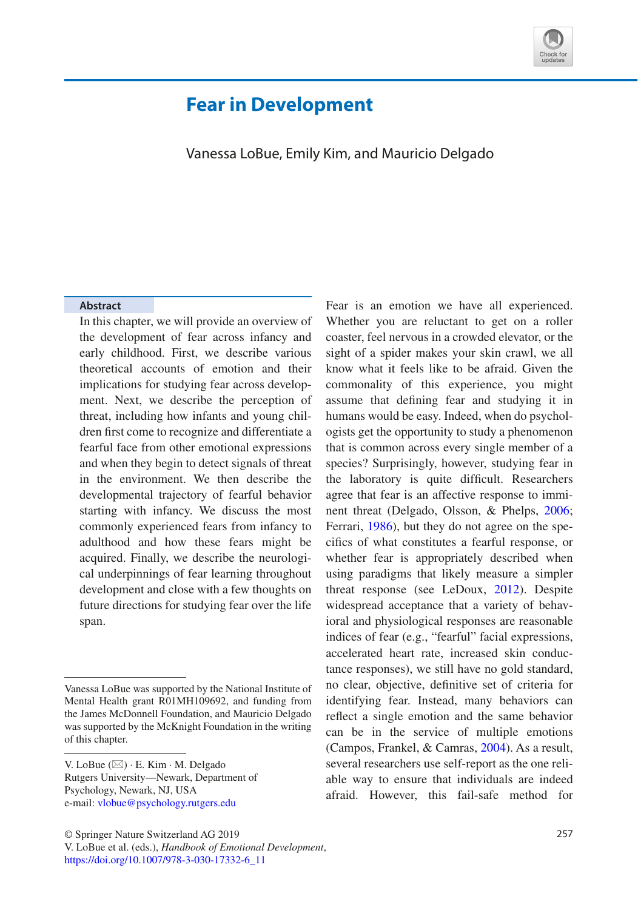

# **Fear in Development**

Vanessa LoBue, Emily Kim, and Mauricio Delgado

### **Abstract**

In this chapter, we will provide an overview of the development of fear across infancy and early childhood. First, we describe various theoretical accounts of emotion and their implications for studying fear across development. Next, we describe the perception of threat, including how infants and young children first come to recognize and differentiate a fearful face from other emotional expressions and when they begin to detect signals of threat in the environment. We then describe the developmental trajectory of fearful behavior starting with infancy. We discuss the most commonly experienced fears from infancy to adulthood and how these fears might be acquired. Finally, we describe the neurological underpinnings of fear learning throughout development and close with a few thoughts on future directions for studying fear over the life span.

Fear is an emotion we have all experienced. Whether you are reluctant to get on a roller coaster, feel nervous in a crowded elevator, or the sight of a spider makes your skin crawl, we all

V. LoBue et al. (eds.), *Handbook of Emotional Development*, [https://doi.org/10.1007/978-3-030-17332-6\\_11](https://doi.org/10.1007/978-3-030-17332-6_11)

Vanessa LoBue was supported by the National Institute of Mental Health grant R01MH109692, and funding from the James McDonnell Foundation, and Mauricio Delgado was supported by the McKnight Foundation in the writing of this chapter.

V. LoBue  $(\boxtimes) \cdot$  E. Kim  $\cdot$  M. Delgado Rutgers University—Newark, Department of Psychology, Newark, NJ, USA e-mail[: vlobue@psychology.rutgers.edu](mailto:vlobue@psychology.rutgers.edu)

know what it feels like to be afraid. Given the commonality of this experience, you might assume that defining fear and studying it in humans would be easy. Indeed, when do psychologists get the opportunity to study a phenomenon that is common across every single member of a species? Surprisingly, however, studying fear in the laboratory is quite difficult. Researchers agree that fear is an affective response to imminent threat (Delgado, Olsson, & Phelps, [2006;](#page-20-0) Ferrari, [1986\)](#page-20-1), but they do not agree on the specifics of what constitutes a fearful response, or whether fear is appropriately described when using paradigms that likely measure a simpler threat response (see LeDoux, [2012](#page-22-0)). Despite widespread acceptance that a variety of behavioral and physiological responses are reasonable indices of fear (e.g., "fearful" facial expressions, accelerated heart rate, increased skin conductance responses), we still have no gold standard, no clear, objective, definitive set of criteria for identifying fear. Instead, many behaviors can reflect a single emotion and the same behavior can be in the service of multiple emotions (Campos, Frankel, & Camras, [2004](#page-19-0)). As a result, several researchers use self-report as the one reliable way to ensure that individuals are indeed afraid. However, this fail-safe method for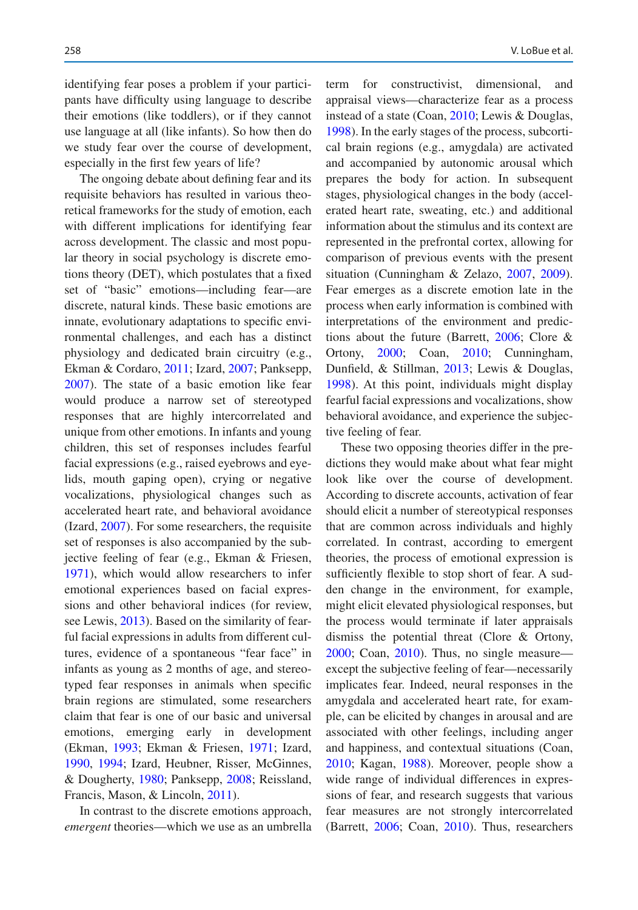identifying fear poses a problem if your participants have difficulty using language to describe their emotions (like toddlers), or if they cannot use language at all (like infants). So how then do we study fear over the course of development, especially in the first few years of life?

The ongoing debate about defining fear and its requisite behaviors has resulted in various theoretical frameworks for the study of emotion, each with different implications for identifying fear across development. The classic and most popular theory in social psychology is discrete emotions theory (DET), which postulates that a fixed set of "basic" emotions—including fear—are discrete, natural kinds. These basic emotions are innate, evolutionary adaptations to specific environmental challenges, and each has a distinct physiology and dedicated brain circuitry (e.g., Ekman & Cordaro, [2011;](#page-20-2) Izard, [2007;](#page-21-0) Panksepp, [2007](#page-24-0)). The state of a basic emotion like fear would produce a narrow set of stereotyped responses that are highly intercorrelated and unique from other emotions. In infants and young children, this set of responses includes fearful facial expressions (e.g., raised eyebrows and eyelids, mouth gaping open), crying or negative vocalizations, physiological changes such as accelerated heart rate, and behavioral avoidance (Izard, [2007\)](#page-21-0). For some researchers, the requisite set of responses is also accompanied by the subjective feeling of fear (e.g., Ekman & Friesen, [1971](#page-20-3)), which would allow researchers to infer emotional experiences based on facial expressions and other behavioral indices (for review, see Lewis, [2013](#page-22-1)). Based on the similarity of fearful facial expressions in adults from different cultures, evidence of a spontaneous "fear face" in infants as young as 2 months of age, and stereotyped fear responses in animals when specific brain regions are stimulated, some researchers claim that fear is one of our basic and universal emotions, emerging early in development (Ekman, [1993](#page-20-4); Ekman & Friesen, [1971;](#page-20-3) Izard, [1990](#page-21-1), [1994](#page-21-2); Izard, Heubner, Risser, McGinnes, & Dougherty, [1980;](#page-21-3) Panksepp, [2008](#page-24-1); Reissland, Francis, Mason, & Lincoln, [2011](#page-24-2)).

In contrast to the discrete emotions approach, *emergent* theories—which we use as an umbrella

term for constructivist, dimensional, and appraisal views—characterize fear as a process instead of a state (Coan, [2010;](#page-19-1) Lewis & Douglas, [1998\)](#page-22-2). In the early stages of the process, subcortical brain regions (e.g., amygdala) are activated and accompanied by autonomic arousal which prepares the body for action. In subsequent stages, physiological changes in the body (accelerated heart rate, sweating, etc.) and additional information about the stimulus and its context are represented in the prefrontal cortex, allowing for comparison of previous events with the present situation (Cunningham & Zelazo, [2007](#page-20-5), [2009\)](#page-20-6). Fear emerges as a discrete emotion late in the process when early information is combined with interpretations of the environment and predictions about the future (Barrett, [2006;](#page-19-2) Clore & Ortony, [2000;](#page-19-3) Coan, [2010](#page-19-1); Cunningham, Dunfield, & Stillman, [2013](#page-20-7); Lewis & Douglas, [1998\)](#page-22-2). At this point, individuals might display fearful facial expressions and vocalizations, show behavioral avoidance, and experience the subjective feeling of fear.

These two opposing theories differ in the predictions they would make about what fear might look like over the course of development. According to discrete accounts, activation of fear should elicit a number of stereotypical responses that are common across individuals and highly correlated. In contrast, according to emergent theories, the process of emotional expression is sufficiently flexible to stop short of fear. A sudden change in the environment, for example, might elicit elevated physiological responses, but the process would terminate if later appraisals dismiss the potential threat (Clore & Ortony, [2000;](#page-19-3) Coan, [2010](#page-19-1)). Thus, no single measure except the subjective feeling of fear—necessarily implicates fear. Indeed, neural responses in the amygdala and accelerated heart rate, for example, can be elicited by changes in arousal and are associated with other feelings, including anger and happiness, and contextual situations (Coan, [2010;](#page-19-1) Kagan, [1988\)](#page-21-4). Moreover, people show a wide range of individual differences in expressions of fear, and research suggests that various fear measures are not strongly intercorrelated (Barrett, [2006](#page-19-2); Coan, [2010](#page-19-1)). Thus, researchers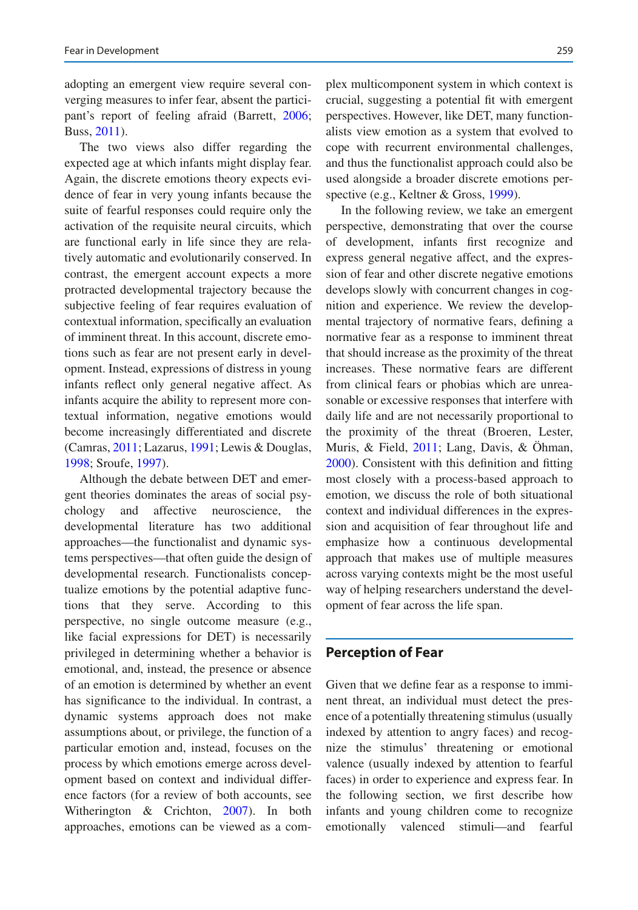adopting an emergent view require several converging measures to infer fear, absent the participant's report of feeling afraid (Barrett, [2006;](#page-19-2) Buss, [2011](#page-19-4)).

The two views also differ regarding the expected age at which infants might display fear. Again, the discrete emotions theory expects evidence of fear in very young infants because the suite of fearful responses could require only the activation of the requisite neural circuits, which are functional early in life since they are relatively automatic and evolutionarily conserved. In contrast, the emergent account expects a more protracted developmental trajectory because the subjective feeling of fear requires evaluation of contextual information, specifically an evaluation of imminent threat. In this account, discrete emotions such as fear are not present early in development. Instead, expressions of distress in young infants reflect only general negative affect. As infants acquire the ability to represent more contextual information, negative emotions would become increasingly differentiated and discrete (Camras, [2011](#page-19-5); Lazarus, [1991](#page-22-3); Lewis & Douglas, [1998](#page-22-2); Sroufe, [1997\)](#page-25-0).

Although the debate between DET and emergent theories dominates the areas of social psychology and affective neuroscience, the developmental literature has two additional approaches—the functionalist and dynamic systems perspectives—that often guide the design of developmental research. Functionalists conceptualize emotions by the potential adaptive functions that they serve. According to this perspective, no single outcome measure (e.g., like facial expressions for DET) is necessarily privileged in determining whether a behavior is emotional, and, instead, the presence or absence of an emotion is determined by whether an event has significance to the individual. In contrast, a dynamic systems approach does not make assumptions about, or privilege, the function of a particular emotion and, instead, focuses on the process by which emotions emerge across development based on context and individual difference factors (for a review of both accounts, see Witherington & Crichton, [2007](#page-25-1)). In both approaches, emotions can be viewed as a com-

plex multicomponent system in which context is crucial, suggesting a potential fit with emergent perspectives. However, like DET, many functionalists view emotion as a system that evolved to cope with recurrent environmental challenges, and thus the functionalist approach could also be used alongside a broader discrete emotions per-spective (e.g., Keltner & Gross, [1999](#page-21-5)).

In the following review, we take an emergent perspective, demonstrating that over the course of development, infants first recognize and express general negative affect, and the expression of fear and other discrete negative emotions develops slowly with concurrent changes in cognition and experience. We review the developmental trajectory of normative fears, defining a normative fear as a response to imminent threat that should increase as the proximity of the threat increases. These normative fears are different from clinical fears or phobias which are unreasonable or excessive responses that interfere with daily life and are not necessarily proportional to the proximity of the threat (Broeren, Lester, Muris, & Field, [2011;](#page-19-6) Lang, Davis, & Öhman, [2000\)](#page-22-4). Consistent with this definition and fitting most closely with a process-based approach to emotion, we discuss the role of both situational context and individual differences in the expression and acquisition of fear throughout life and emphasize how a continuous developmental approach that makes use of multiple measures across varying contexts might be the most useful way of helping researchers understand the development of fear across the life span.

#### **Perception of Fear**

Given that we define fear as a response to imminent threat, an individual must detect the presence of a potentially threatening stimulus (usually indexed by attention to angry faces) and recognize the stimulus' threatening or emotional valence (usually indexed by attention to fearful faces) in order to experience and express fear. In the following section, we first describe how infants and young children come to recognize emotionally valenced stimuli—and fearful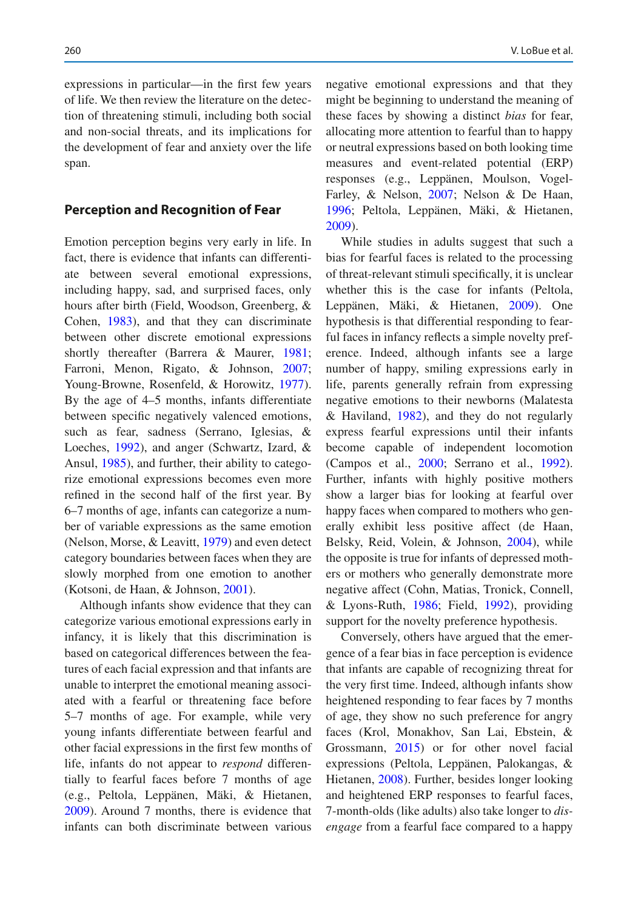expressions in particular—in the first few years of life. We then review the literature on the detection of threatening stimuli, including both social and non-social threats, and its implications for the development of fear and anxiety over the life span.

#### **Perception and Recognition of Fear**

Emotion perception begins very early in life. In fact, there is evidence that infants can differentiate between several emotional expressions, including happy, sad, and surprised faces, only hours after birth (Field, Woodson, Greenberg, & Cohen, [1983\)](#page-21-6), and that they can discriminate between other discrete emotional expressions shortly thereafter (Barrera & Maurer, [1981;](#page-19-7) Farroni, Menon, Rigato, & Johnson, [2007;](#page-20-8) Young-Browne, Rosenfeld, & Horowitz, [1977\)](#page-25-2). By the age of 4–5 months, infants differentiate between specific negatively valenced emotions, such as fear, sadness (Serrano, Iglesias, & Loeches, [1992\)](#page-24-3), and anger (Schwartz, Izard, & Ansul, [1985](#page-24-4)), and further, their ability to categorize emotional expressions becomes even more refined in the second half of the first year. By 6–7 months of age, infants can categorize a number of variable expressions as the same emotion (Nelson, Morse, & Leavitt, [1979](#page-23-0)) and even detect category boundaries between faces when they are slowly morphed from one emotion to another (Kotsoni, de Haan, & Johnson, [2001\)](#page-21-7).

Although infants show evidence that they can categorize various emotional expressions early in infancy, it is likely that this discrimination is based on categorical differences between the features of each facial expression and that infants are unable to interpret the emotional meaning associated with a fearful or threatening face before 5–7 months of age. For example, while very young infants differentiate between fearful and other facial expressions in the first few months of life, infants do not appear to *respond* differentially to fearful faces before 7 months of age (e.g., Peltola, Leppänen, Mäki, & Hietanen, [2009](#page-24-5)). Around 7 months, there is evidence that infants can both discriminate between various

negative emotional expressions and that they might be beginning to understand the meaning of these faces by showing a distinct *bias* for fear, allocating more attention to fearful than to happy or neutral expressions based on both looking time measures and event-related potential (ERP) responses (e.g., Leppänen, Moulson, Vogel-Farley, & Nelson, [2007;](#page-22-5) Nelson & De Haan, [1996;](#page-23-1) Peltola, Leppänen, Mäki, & Hietanen, [2009\)](#page-24-5).

While studies in adults suggest that such a bias for fearful faces is related to the processing of threat-relevant stimuli specifically, it is unclear whether this is the case for infants (Peltola, Leppänen, Mäki, & Hietanen, [2009\)](#page-24-5). One hypothesis is that differential responding to fearful faces in infancy reflects a simple novelty preference. Indeed, although infants see a large number of happy, smiling expressions early in life, parents generally refrain from expressing negative emotions to their newborns (Malatesta & Haviland, [1982](#page-22-6)), and they do not regularly express fearful expressions until their infants become capable of independent locomotion (Campos et al., [2000](#page-19-8); Serrano et al., [1992\)](#page-24-3). Further, infants with highly positive mothers show a larger bias for looking at fearful over happy faces when compared to mothers who generally exhibit less positive affect (de Haan, Belsky, Reid, Volein, & Johnson, [2004](#page-20-9)), while the opposite is true for infants of depressed mothers or mothers who generally demonstrate more negative affect (Cohn, Matias, Tronick, Connell, & Lyons-Ruth,  $1986$ ; Field,  $1992$ ), providing support for the novelty preference hypothesis.

Conversely, others have argued that the emergence of a fear bias in face perception is evidence that infants are capable of recognizing threat for the very first time. Indeed, although infants show heightened responding to fear faces by 7 months of age, they show no such preference for angry faces (Krol, Monakhov, San Lai, Ebstein, & Grossmann, [2015\)](#page-22-7) or for other novel facial expressions (Peltola, Leppänen, Palokangas, & Hietanen, [2008](#page-24-6)). Further, besides longer looking and heightened ERP responses to fearful faces, 7-month-olds (like adults) also take longer to *disengage* from a fearful face compared to a happy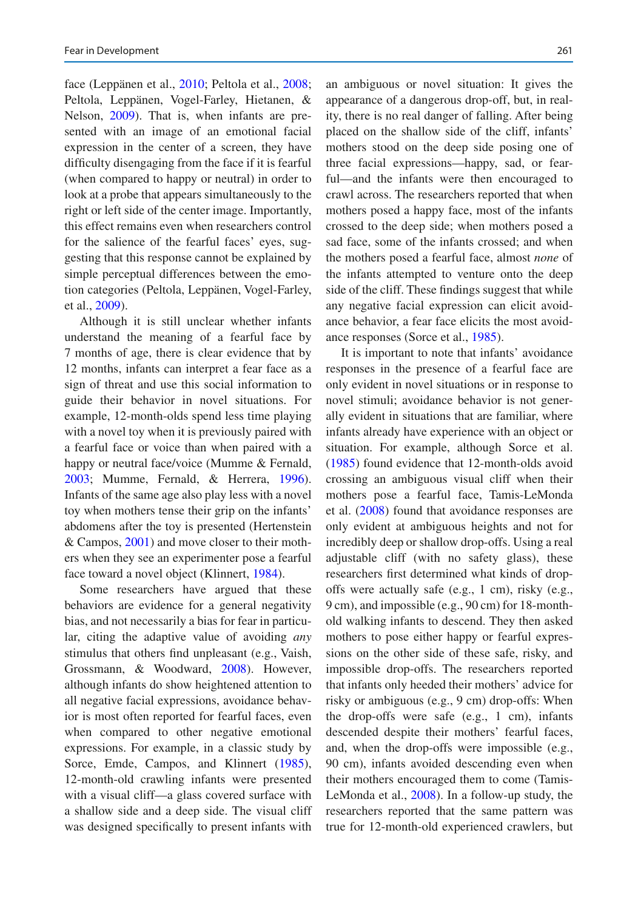face (Leppänen et al., [2010;](#page-22-8) Peltola et al., [2008;](#page-24-6) Peltola, Leppänen, Vogel-Farley, Hietanen, & Nelson, [2009\)](#page-24-7). That is, when infants are presented with an image of an emotional facial expression in the center of a screen, they have difficulty disengaging from the face if it is fearful (when compared to happy or neutral) in order to look at a probe that appears simultaneously to the right or left side of the center image. Importantly, this effect remains even when researchers control for the salience of the fearful faces' eyes, suggesting that this response cannot be explained by simple perceptual differences between the emotion categories (Peltola, Leppänen, Vogel-Farley, et al., [2009](#page-24-7)).

Although it is still unclear whether infants understand the meaning of a fearful face by 7 months of age, there is clear evidence that by 12 months, infants can interpret a fear face as a sign of threat and use this social information to guide their behavior in novel situations. For example, 12-month-olds spend less time playing with a novel toy when it is previously paired with a fearful face or voice than when paired with a happy or neutral face/voice (Mumme & Fernald, [2003](#page-23-2); Mumme, Fernald, & Herrera, [1996\)](#page-23-3). Infants of the same age also play less with a novel toy when mothers tense their grip on the infants' abdomens after the toy is presented (Hertenstein & Campos, [2001\)](#page-21-9) and move closer to their mothers when they see an experimenter pose a fearful face toward a novel object (Klinnert, [1984\)](#page-21-10).

Some researchers have argued that these behaviors are evidence for a general negativity bias, and not necessarily a bias for fear in particular, citing the adaptive value of avoiding *any* stimulus that others find unpleasant (e.g., Vaish, Grossmann, & Woodward, [2008](#page-25-3)). However, although infants do show heightened attention to all negative facial expressions, avoidance behavior is most often reported for fearful faces, even when compared to other negative emotional expressions. For example, in a classic study by Sorce, Emde, Campos, and Klinnert ([1985\)](#page-25-4), 12-month-old crawling infants were presented with a visual cliff—a glass covered surface with a shallow side and a deep side. The visual cliff was designed specifically to present infants with an ambiguous or novel situation: It gives the appearance of a dangerous drop-off, but, in reality, there is no real danger of falling. After being placed on the shallow side of the cliff, infants' mothers stood on the deep side posing one of three facial expressions—happy, sad, or fearful—and the infants were then encouraged to crawl across. The researchers reported that when mothers posed a happy face, most of the infants crossed to the deep side; when mothers posed a sad face, some of the infants crossed; and when the mothers posed a fearful face, almost *none* of the infants attempted to venture onto the deep side of the cliff. These findings suggest that while any negative facial expression can elicit avoidance behavior, a fear face elicits the most avoidance responses (Sorce et al., [1985](#page-25-4)).

It is important to note that infants' avoidance responses in the presence of a fearful face are only evident in novel situations or in response to novel stimuli; avoidance behavior is not generally evident in situations that are familiar, where infants already have experience with an object or situation. For example, although Sorce et al. [\(1985](#page-25-4)) found evidence that 12-month-olds avoid crossing an ambiguous visual cliff when their mothers pose a fearful face, Tamis-LeMonda et al. ([2008\)](#page-25-5) found that avoidance responses are only evident at ambiguous heights and not for incredibly deep or shallow drop-offs. Using a real adjustable cliff (with no safety glass), these researchers first determined what kinds of dropoffs were actually safe (e.g., 1 cm), risky (e.g., 9 cm), and impossible (e.g., 90 cm) for 18-monthold walking infants to descend. They then asked mothers to pose either happy or fearful expressions on the other side of these safe, risky, and impossible drop-offs. The researchers reported that infants only heeded their mothers' advice for risky or ambiguous (e.g., 9 cm) drop-offs: When the drop-offs were safe (e.g., 1 cm), infants descended despite their mothers' fearful faces, and, when the drop-offs were impossible (e.g., 90 cm), infants avoided descending even when their mothers encouraged them to come (Tamis-LeMonda et al., [2008](#page-25-5)). In a follow-up study, the researchers reported that the same pattern was true for 12-month-old experienced crawlers, but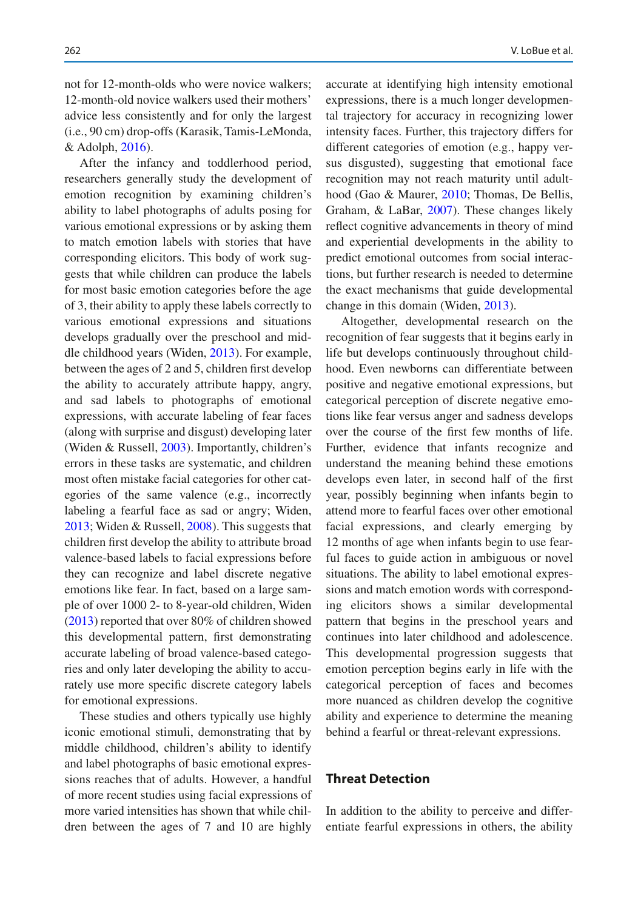not for 12-month-olds who were novice walkers; 12-month-old novice walkers used their mothers' advice less consistently and for only the largest (i.e., 90 cm) drop-offs (Karasik, Tamis-LeMonda, & Adolph, [2016\)](#page-21-11).

After the infancy and toddlerhood period, researchers generally study the development of emotion recognition by examining children's ability to label photographs of adults posing for various emotional expressions or by asking them to match emotion labels with stories that have corresponding elicitors. This body of work suggests that while children can produce the labels for most basic emotion categories before the age of 3, their ability to apply these labels correctly to various emotional expressions and situations develops gradually over the preschool and middle childhood years (Widen, [2013](#page-25-6)). For example, between the ages of 2 and 5, children first develop the ability to accurately attribute happy, angry, and sad labels to photographs of emotional expressions, with accurate labeling of fear faces (along with surprise and disgust) developing later (Widen & Russell, [2003\)](#page-25-7). Importantly, children's errors in these tasks are systematic, and children most often mistake facial categories for other categories of the same valence (e.g., incorrectly labeling a fearful face as sad or angry; Widen, [2013](#page-25-6); Widen & Russell, [2008\)](#page-25-8). This suggests that children first develop the ability to attribute broad valence-based labels to facial expressions before they can recognize and label discrete negative emotions like fear. In fact, based on a large sample of over 1000 2- to 8-year-old children, Widen [\(2013](#page-25-6)) reported that over 80% of children showed this developmental pattern, first demonstrating accurate labeling of broad valence-based categories and only later developing the ability to accurately use more specific discrete category labels for emotional expressions.

These studies and others typically use highly iconic emotional stimuli, demonstrating that by middle childhood, children's ability to identify and label photographs of basic emotional expressions reaches that of adults. However, a handful of more recent studies using facial expressions of more varied intensities has shown that while children between the ages of 7 and 10 are highly

accurate at identifying high intensity emotional expressions, there is a much longer developmental trajectory for accuracy in recognizing lower intensity faces. Further, this trajectory differs for different categories of emotion (e.g., happy versus disgusted), suggesting that emotional face recognition may not reach maturity until adulthood (Gao & Maurer, [2010;](#page-21-12) Thomas, De Bellis, Graham, & LaBar, [2007](#page-25-9)). These changes likely reflect cognitive advancements in theory of mind and experiential developments in the ability to predict emotional outcomes from social interactions, but further research is needed to determine the exact mechanisms that guide developmental change in this domain (Widen, [2013](#page-25-6)).

Altogether, developmental research on the recognition of fear suggests that it begins early in life but develops continuously throughout childhood. Even newborns can differentiate between positive and negative emotional expressions, but categorical perception of discrete negative emotions like fear versus anger and sadness develops over the course of the first few months of life. Further, evidence that infants recognize and understand the meaning behind these emotions develops even later, in second half of the first year, possibly beginning when infants begin to attend more to fearful faces over other emotional facial expressions, and clearly emerging by 12 months of age when infants begin to use fearful faces to guide action in ambiguous or novel situations. The ability to label emotional expressions and match emotion words with corresponding elicitors shows a similar developmental pattern that begins in the preschool years and continues into later childhood and adolescence. This developmental progression suggests that emotion perception begins early in life with the categorical perception of faces and becomes more nuanced as children develop the cognitive ability and experience to determine the meaning behind a fearful or threat-relevant expressions.

#### **Threat Detection**

In addition to the ability to perceive and differentiate fearful expressions in others, the ability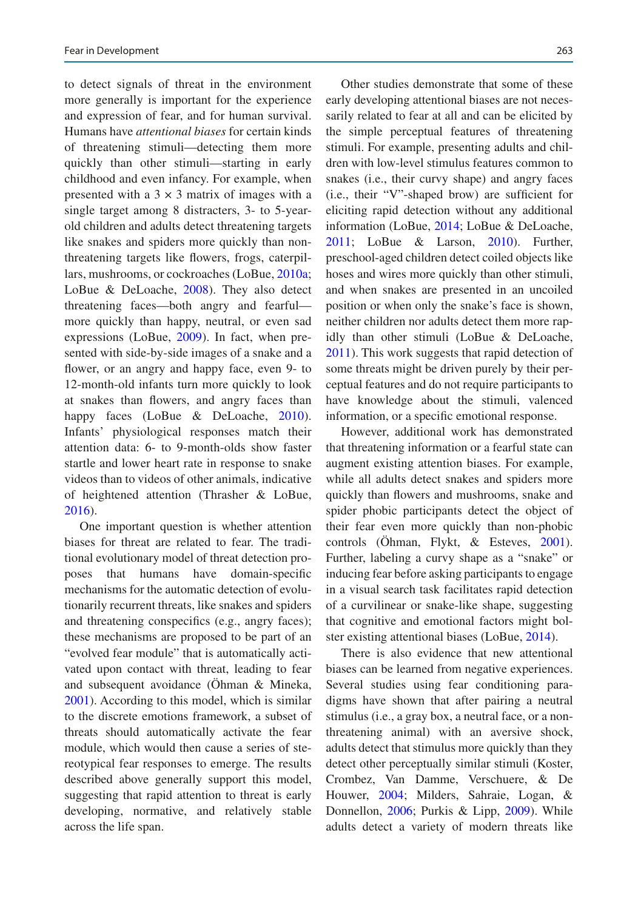to detect signals of threat in the environment more generally is important for the experience and expression of fear, and for human survival. Humans have *attentional biases* for certain kinds of threatening stimuli—detecting them more quickly than other stimuli—starting in early childhood and even infancy. For example, when presented with a  $3 \times 3$  matrix of images with a single target among 8 distracters, 3- to 5-yearold children and adults detect threatening targets like snakes and spiders more quickly than nonthreatening targets like flowers, frogs, caterpillars, mushrooms, or cockroaches (LoBue, [2010a;](#page-22-9) LoBue & DeLoache, [2008](#page-22-10)). They also detect threatening faces—both angry and fearful more quickly than happy, neutral, or even sad expressions (LoBue, [2009\)](#page-22-11). In fact, when presented with side-by-side images of a snake and a flower, or an angry and happy face, even 9- to 12-month-old infants turn more quickly to look at snakes than flowers, and angry faces than happy faces (LoBue & DeLoache, [2010\)](#page-22-12). Infants' physiological responses match their attention data: 6- to 9-month-olds show faster startle and lower heart rate in response to snake videos than to videos of other animals, indicative of heightened attention (Thrasher & LoBue, [2016](#page-25-10)).

One important question is whether attention biases for threat are related to fear. The traditional evolutionary model of threat detection proposes that humans have domain-specific mechanisms for the automatic detection of evolutionarily recurrent threats, like snakes and spiders and threatening conspecifics (e.g., angry faces); these mechanisms are proposed to be part of an "evolved fear module" that is automatically activated upon contact with threat, leading to fear and subsequent avoidance (Öhman & Mineka, [2001](#page-24-8)). According to this model, which is similar to the discrete emotions framework, a subset of threats should automatically activate the fear module, which would then cause a series of stereotypical fear responses to emerge. The results described above generally support this model, suggesting that rapid attention to threat is early developing, normative, and relatively stable across the life span.

Other studies demonstrate that some of these early developing attentional biases are not necessarily related to fear at all and can be elicited by the simple perceptual features of threatening stimuli. For example, presenting adults and children with low-level stimulus features common to snakes (i.e., their curvy shape) and angry faces (i.e., their "V"-shaped brow) are sufficient for eliciting rapid detection without any additional information (LoBue, [2014;](#page-22-13) LoBue & DeLoache, [2011;](#page-22-14) LoBue & Larson, [2010](#page-22-15)). Further, preschool-aged children detect coiled objects like hoses and wires more quickly than other stimuli, and when snakes are presented in an uncoiled position or when only the snake's face is shown, neither children nor adults detect them more rapidly than other stimuli (LoBue & DeLoache, [2011\)](#page-22-14). This work suggests that rapid detection of some threats might be driven purely by their perceptual features and do not require participants to have knowledge about the stimuli, valenced information, or a specific emotional response.

However, additional work has demonstrated that threatening information or a fearful state can augment existing attention biases. For example, while all adults detect snakes and spiders more quickly than flowers and mushrooms, snake and spider phobic participants detect the object of their fear even more quickly than non-phobic controls (Öhman, Flykt, & Esteves, [2001\)](#page-23-4). Further, labeling a curvy shape as a "snake" or inducing fear before asking participants to engage in a visual search task facilitates rapid detection of a curvilinear or snake-like shape, suggesting that cognitive and emotional factors might bolster existing attentional biases (LoBue, [2014](#page-22-13)).

There is also evidence that new attentional biases can be learned from negative experiences. Several studies using fear conditioning paradigms have shown that after pairing a neutral stimulus (i.e., a gray box, a neutral face, or a nonthreatening animal) with an aversive shock, adults detect that stimulus more quickly than they detect other perceptually similar stimuli (Koster, Crombez, Van Damme, Verschuere, & De Houwer, [2004;](#page-21-13) Milders, Sahraie, Logan, & Donnellon, [2006;](#page-23-5) Purkis & Lipp, [2009\)](#page-24-9). While adults detect a variety of modern threats like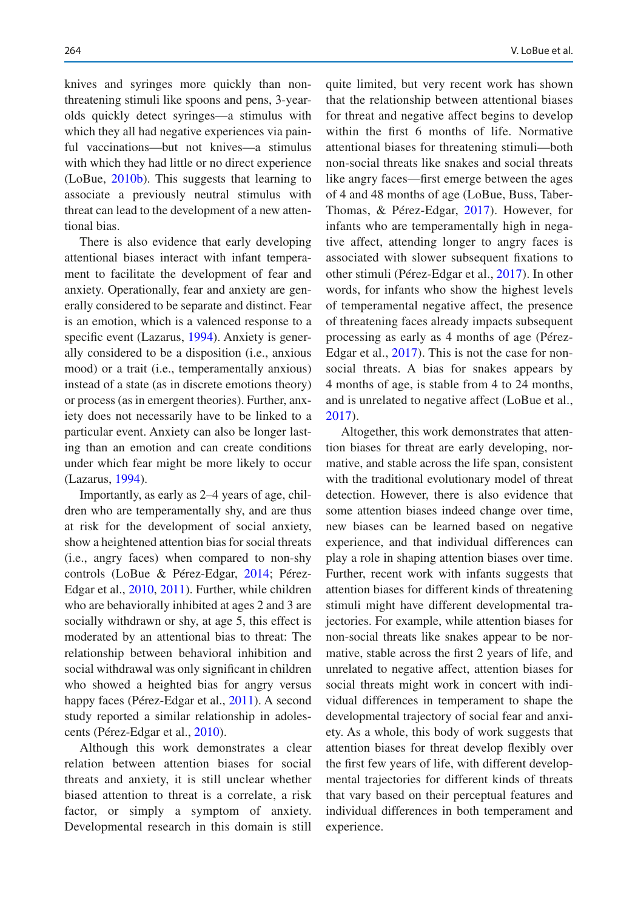knives and syringes more quickly than nonthreatening stimuli like spoons and pens, 3-yearolds quickly detect syringes—a stimulus with which they all had negative experiences via painful vaccinations—but not knives—a stimulus with which they had little or no direct experience (LoBue, [2010b](#page-22-16)). This suggests that learning to associate a previously neutral stimulus with threat can lead to the development of a new attentional bias.

There is also evidence that early developing attentional biases interact with infant temperament to facilitate the development of fear and anxiety. Operationally, fear and anxiety are generally considered to be separate and distinct. Fear is an emotion, which is a valenced response to a specific event (Lazarus, [1994\)](#page-22-17). Anxiety is generally considered to be a disposition (i.e., anxious mood) or a trait (i.e., temperamentally anxious) instead of a state (as in discrete emotions theory) or process (as in emergent theories). Further, anxiety does not necessarily have to be linked to a particular event. Anxiety can also be longer lasting than an emotion and can create conditions under which fear might be more likely to occur (Lazarus, [1994](#page-22-17)).

Importantly, as early as 2–4 years of age, children who are temperamentally shy, and are thus at risk for the development of social anxiety, show a heightened attention bias for social threats (i.e., angry faces) when compared to non-shy controls (LoBue & Pérez-Edgar, [2014](#page-22-18); Pérez-Edgar et al., [2010,](#page-24-10) [2011\)](#page-24-11). Further, while children who are behaviorally inhibited at ages 2 and 3 are socially withdrawn or shy, at age 5, this effect is moderated by an attentional bias to threat: The relationship between behavioral inhibition and social withdrawal was only significant in children who showed a heighted bias for angry versus happy faces (Pérez-Edgar et al., [2011](#page-24-11)). A second study reported a similar relationship in adolescents (Pérez-Edgar et al., [2010\)](#page-24-10).

Although this work demonstrates a clear relation between attention biases for social threats and anxiety, it is still unclear whether biased attention to threat is a correlate, a risk factor, or simply a symptom of anxiety. Developmental research in this domain is still

quite limited, but very recent work has shown that the relationship between attentional biases for threat and negative affect begins to develop within the first 6 months of life. Normative attentional biases for threatening stimuli—both non-social threats like snakes and social threats like angry faces—first emerge between the ages of 4 and 48 months of age (LoBue, Buss, Taber-Thomas, & Pérez-Edgar, [2017\)](#page-22-19). However, for infants who are temperamentally high in negative affect, attending longer to angry faces is associated with slower subsequent fixations to other stimuli (Pérez-Edgar et al., [2017](#page-24-12)). In other words, for infants who show the highest levels of temperamental negative affect, the presence of threatening faces already impacts subsequent processing as early as 4 months of age (Pérez-Edgar et al., [2017\)](#page-24-12). This is not the case for nonsocial threats. A bias for snakes appears by 4 months of age, is stable from 4 to 24 months, and is unrelated to negative affect (LoBue et al., [2017](#page-22-19)).

Altogether, this work demonstrates that attention biases for threat are early developing, normative, and stable across the life span, consistent with the traditional evolutionary model of threat detection. However, there is also evidence that some attention biases indeed change over time, new biases can be learned based on negative experience, and that individual differences can play a role in shaping attention biases over time. Further, recent work with infants suggests that attention biases for different kinds of threatening stimuli might have different developmental trajectories. For example, while attention biases for non-social threats like snakes appear to be normative, stable across the first 2 years of life, and unrelated to negative affect, attention biases for social threats might work in concert with individual differences in temperament to shape the developmental trajectory of social fear and anxiety. As a whole, this body of work suggests that attention biases for threat develop flexibly over the first few years of life, with different developmental trajectories for different kinds of threats that vary based on their perceptual features and individual differences in both temperament and experience.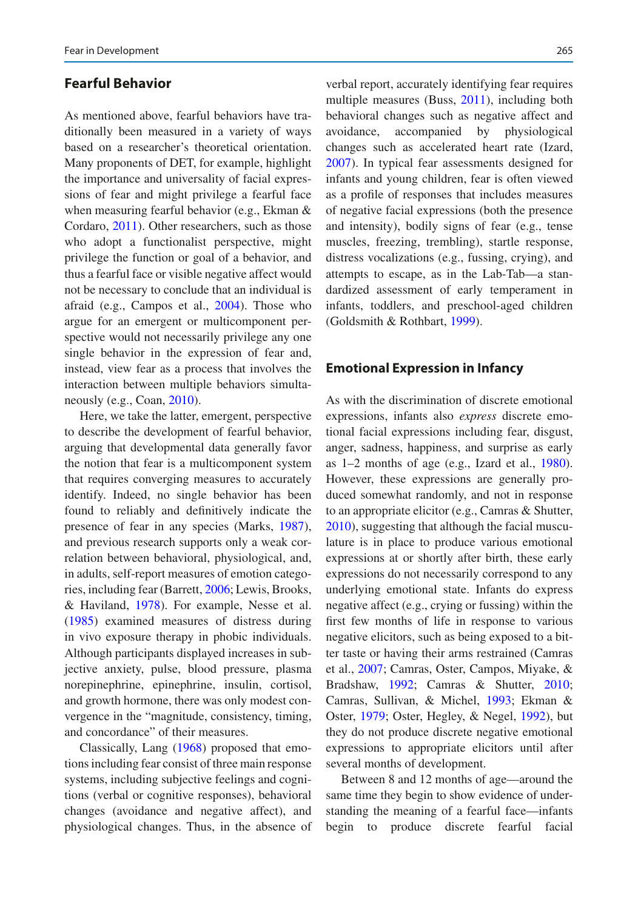## **Fearful Behavior**

As mentioned above, fearful behaviors have traditionally been measured in a variety of ways based on a researcher's theoretical orientation. Many proponents of DET, for example, highlight the importance and universality of facial expressions of fear and might privilege a fearful face when measuring fearful behavior (e.g., Ekman & Cordaro, [2011](#page-20-2)). Other researchers, such as those who adopt a functionalist perspective, might privilege the function or goal of a behavior, and thus a fearful face or visible negative affect would not be necessary to conclude that an individual is afraid (e.g., Campos et al., [2004](#page-19-0)). Those who argue for an emergent or multicomponent perspective would not necessarily privilege any one single behavior in the expression of fear and, instead, view fear as a process that involves the interaction between multiple behaviors simultaneously (e.g., Coan, [2010\)](#page-19-1).

Here, we take the latter, emergent, perspective to describe the development of fearful behavior, arguing that developmental data generally favor the notion that fear is a multicomponent system that requires converging measures to accurately identify. Indeed, no single behavior has been found to reliably and definitively indicate the presence of fear in any species (Marks, [1987\)](#page-22-20), and previous research supports only a weak correlation between behavioral, physiological, and, in adults, self-report measures of emotion categories, including fear (Barrett, [2006](#page-19-2); Lewis, Brooks, & Haviland, [1978\)](#page-22-21). For example, Nesse et al. [\(1985](#page-23-6)) examined measures of distress during in vivo exposure therapy in phobic individuals. Although participants displayed increases in subjective anxiety, pulse, blood pressure, plasma norepinephrine, epinephrine, insulin, cortisol, and growth hormone, there was only modest convergence in the "magnitude, consistency, timing, and concordance" of their measures.

Classically, Lang [\(1968](#page-22-22)) proposed that emotions including fear consist of three main response systems, including subjective feelings and cognitions (verbal or cognitive responses), behavioral changes (avoidance and negative affect), and physiological changes. Thus, in the absence of

verbal report, accurately identifying fear requires multiple measures (Buss, [2011\)](#page-19-4), including both behavioral changes such as negative affect and avoidance, accompanied by physiological changes such as accelerated heart rate (Izard, [2007\)](#page-21-0). In typical fear assessments designed for infants and young children, fear is often viewed as a profile of responses that includes measures of negative facial expressions (both the presence and intensity), bodily signs of fear (e.g., tense muscles, freezing, trembling), startle response, distress vocalizations (e.g., fussing, crying), and attempts to escape, as in the Lab-Tab—a standardized assessment of early temperament in infants, toddlers, and preschool-aged children (Goldsmith & Rothbart, [1999](#page-21-14)).

#### **Emotional Expression in Infancy**

As with the discrimination of discrete emotional expressions, infants also *express* discrete emotional facial expressions including fear, disgust, anger, sadness, happiness, and surprise as early as  $1-2$  months of age (e.g., Izard et al.,  $1980$ ). However, these expressions are generally produced somewhat randomly, and not in response to an appropriate elicitor (e.g., Camras & Shutter, [2010\)](#page-19-9), suggesting that although the facial musculature is in place to produce various emotional expressions at or shortly after birth, these early expressions do not necessarily correspond to any underlying emotional state. Infants do express negative affect (e.g., crying or fussing) within the first few months of life in response to various negative elicitors, such as being exposed to a bitter taste or having their arms restrained (Camras et al., [2007](#page-19-10); Camras, Oster, Campos, Miyake, & Bradshaw, [1992](#page-19-11); Camras & Shutter, [2010;](#page-19-9) Camras, Sullivan, & Michel, [1993;](#page-19-12) Ekman & Oster, [1979;](#page-20-11) Oster, Hegley, & Negel, [1992\)](#page-23-7), but they do not produce discrete negative emotional expressions to appropriate elicitors until after several months of development.

Between 8 and 12 months of age—around the same time they begin to show evidence of understanding the meaning of a fearful face—infants begin to produce discrete fearful facial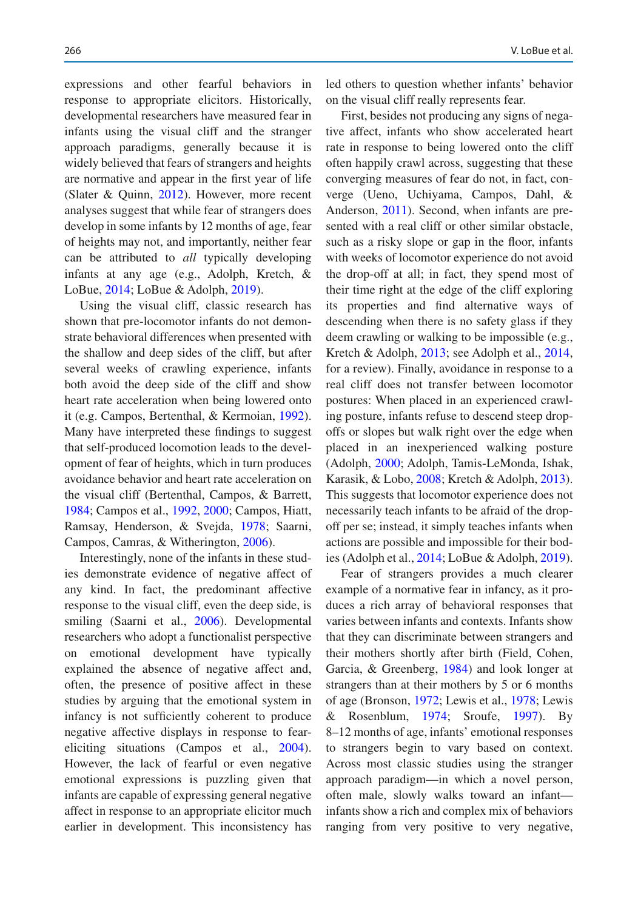expressions and other fearful behaviors in response to appropriate elicitors. Historically, developmental researchers have measured fear in infants using the visual cliff and the stranger approach paradigms, generally because it is widely believed that fears of strangers and heights are normative and appear in the first year of life (Slater & Quinn, [2012](#page-25-11)). However, more recent analyses suggest that while fear of strangers does develop in some infants by 12 months of age, fear of heights may not, and importantly, neither fear can be attributed to *all* typically developing infants at any age (e.g., Adolph, Kretch, & LoBue, [2014](#page-18-0); LoBue & Adolph, [2019\)](#page-22-23).

Using the visual cliff, classic research has shown that pre-locomotor infants do not demonstrate behavioral differences when presented with the shallow and deep sides of the cliff, but after several weeks of crawling experience, infants both avoid the deep side of the cliff and show heart rate acceleration when being lowered onto it (e.g. Campos, Bertenthal, & Kermoian, [1992\)](#page-19-13). Many have interpreted these findings to suggest that self-produced locomotion leads to the development of fear of heights, which in turn produces avoidance behavior and heart rate acceleration on the visual cliff (Bertenthal, Campos, & Barrett, [1984](#page-19-14); Campos et al., [1992](#page-19-13), [2000](#page-19-8); Campos, Hiatt, Ramsay, Henderson, & Svejda, [1978](#page-19-15); Saarni, Campos, Camras, & Witherington, [2006](#page-24-13)).

Interestingly, none of the infants in these studies demonstrate evidence of negative affect of any kind. In fact, the predominant affective response to the visual cliff, even the deep side, is smiling (Saarni et al., [2006\)](#page-24-13). Developmental researchers who adopt a functionalist perspective on emotional development have typically explained the absence of negative affect and, often, the presence of positive affect in these studies by arguing that the emotional system in infancy is not sufficiently coherent to produce negative affective displays in response to feareliciting situations (Campos et al., [2004\)](#page-19-0). However, the lack of fearful or even negative emotional expressions is puzzling given that infants are capable of expressing general negative affect in response to an appropriate elicitor much earlier in development. This inconsistency has

led others to question whether infants' behavior on the visual cliff really represents fear.

First, besides not producing any signs of negative affect, infants who show accelerated heart rate in response to being lowered onto the cliff often happily crawl across, suggesting that these converging measures of fear do not, in fact, converge (Ueno, Uchiyama, Campos, Dahl, & Anderson, [2011\)](#page-25-12). Second, when infants are presented with a real cliff or other similar obstacle, such as a risky slope or gap in the floor, infants with weeks of locomotor experience do not avoid the drop-off at all; in fact, they spend most of their time right at the edge of the cliff exploring its properties and find alternative ways of descending when there is no safety glass if they deem crawling or walking to be impossible (e.g., Kretch & Adolph, [2013](#page-21-15); see Adolph et al., [2014](#page-18-0), for a review). Finally, avoidance in response to a real cliff does not transfer between locomotor postures: When placed in an experienced crawling posture, infants refuse to descend steep dropoffs or slopes but walk right over the edge when placed in an inexperienced walking posture (Adolph, [2000;](#page-18-1) Adolph, Tamis-LeMonda, Ishak, Karasik, & Lobo, [2008](#page-18-2); Kretch & Adolph, [2013\)](#page-21-15). This suggests that locomotor experience does not necessarily teach infants to be afraid of the dropoff per se; instead, it simply teaches infants when actions are possible and impossible for their bodies (Adolph et al., [2014;](#page-18-0) LoBue & Adolph, [2019\)](#page-22-23).

Fear of strangers provides a much clearer example of a normative fear in infancy, as it produces a rich array of behavioral responses that varies between infants and contexts. Infants show that they can discriminate between strangers and their mothers shortly after birth (Field, Cohen, Garcia, & Greenberg, [1984](#page-21-16)) and look longer at strangers than at their mothers by 5 or 6 months of age (Bronson, [1972](#page-19-16); Lewis et al., [1978](#page-22-21); Lewis & Rosenblum, [1974;](#page-22-24) Sroufe, [1997\)](#page-25-0). By 8–12 months of age, infants' emotional responses to strangers begin to vary based on context. Across most classic studies using the stranger approach paradigm—in which a novel person, often male, slowly walks toward an infant infants show a rich and complex mix of behaviors ranging from very positive to very negative,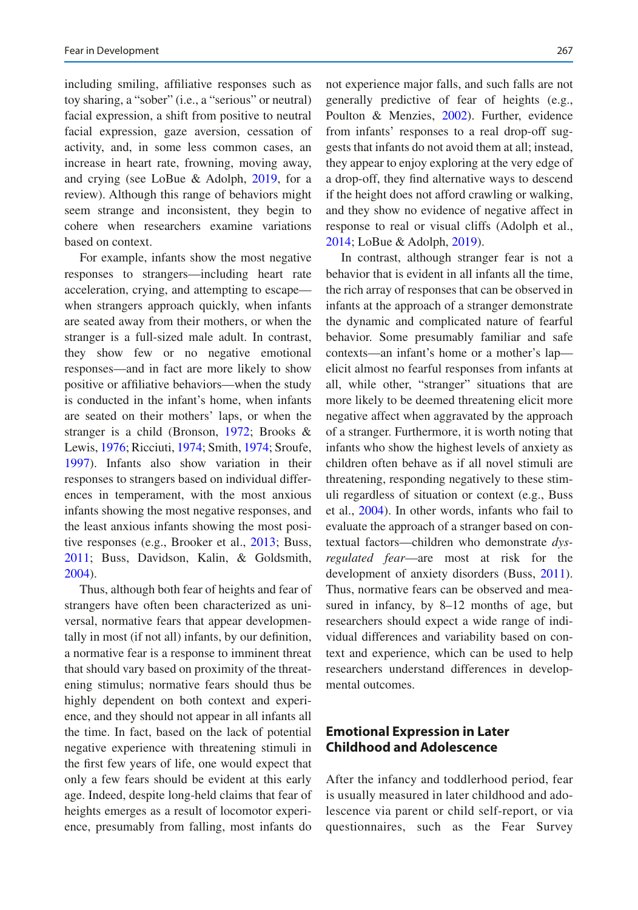including smiling, affiliative responses such as toy sharing, a "sober" (i.e., a "serious" or neutral) facial expression, a shift from positive to neutral facial expression, gaze aversion, cessation of activity, and, in some less common cases, an increase in heart rate, frowning, moving away, and crying (see LoBue & Adolph, [2019,](#page-22-23) for a review). Although this range of behaviors might seem strange and inconsistent, they begin to cohere when researchers examine variations based on context.

For example, infants show the most negative responses to strangers—including heart rate acceleration, crying, and attempting to escape when strangers approach quickly, when infants are seated away from their mothers, or when the stranger is a full-sized male adult. In contrast, they show few or no negative emotional responses—and in fact are more likely to show positive or affiliative behaviors—when the study is conducted in the infant's home, when infants are seated on their mothers' laps, or when the stranger is a child (Bronson, [1972;](#page-19-16) Brooks & Lewis, [1976;](#page-19-17) Ricciuti, [1974](#page-24-14); Smith, [1974;](#page-25-13) Sroufe, [1997](#page-25-0)). Infants also show variation in their responses to strangers based on individual differences in temperament, with the most anxious infants showing the most negative responses, and the least anxious infants showing the most positive responses (e.g., Brooker et al., [2013](#page-19-18); Buss, [2011](#page-19-4); Buss, Davidson, Kalin, & Goldsmith, [2004](#page-19-19)).

Thus, although both fear of heights and fear of strangers have often been characterized as universal, normative fears that appear developmentally in most (if not all) infants, by our definition, a normative fear is a response to imminent threat that should vary based on proximity of the threatening stimulus; normative fears should thus be highly dependent on both context and experience, and they should not appear in all infants all the time. In fact, based on the lack of potential negative experience with threatening stimuli in the first few years of life, one would expect that only a few fears should be evident at this early age. Indeed, despite long-held claims that fear of heights emerges as a result of locomotor experience, presumably from falling, most infants do

not experience major falls, and such falls are not generally predictive of fear of heights (e.g., Poulton & Menzies, [2002\)](#page-24-15). Further, evidence from infants' responses to a real drop-off suggests that infants do not avoid them at all; instead, they appear to enjoy exploring at the very edge of a drop-off, they find alternative ways to descend if the height does not afford crawling or walking, and they show no evidence of negative affect in response to real or visual cliffs (Adolph et al., [2014;](#page-18-0) LoBue & Adolph, [2019\)](#page-22-23).

In contrast, although stranger fear is not a behavior that is evident in all infants all the time, the rich array of responses that can be observed in infants at the approach of a stranger demonstrate the dynamic and complicated nature of fearful behavior. Some presumably familiar and safe contexts—an infant's home or a mother's lap elicit almost no fearful responses from infants at all, while other, "stranger" situations that are more likely to be deemed threatening elicit more negative affect when aggravated by the approach of a stranger. Furthermore, it is worth noting that infants who show the highest levels of anxiety as children often behave as if all novel stimuli are threatening, responding negatively to these stimuli regardless of situation or context (e.g., Buss et al., [2004\)](#page-19-19). In other words, infants who fail to evaluate the approach of a stranger based on contextual factors—children who demonstrate *dysregulated fear*—are most at risk for the development of anxiety disorders (Buss, [2011\)](#page-19-4). Thus, normative fears can be observed and measured in infancy, by 8–12 months of age, but researchers should expect a wide range of individual differences and variability based on context and experience, which can be used to help researchers understand differences in developmental outcomes.

# **Emotional Expression in Later Childhood and Adolescence**

After the infancy and toddlerhood period, fear is usually measured in later childhood and adolescence via parent or child self-report, or via questionnaires, such as the Fear Survey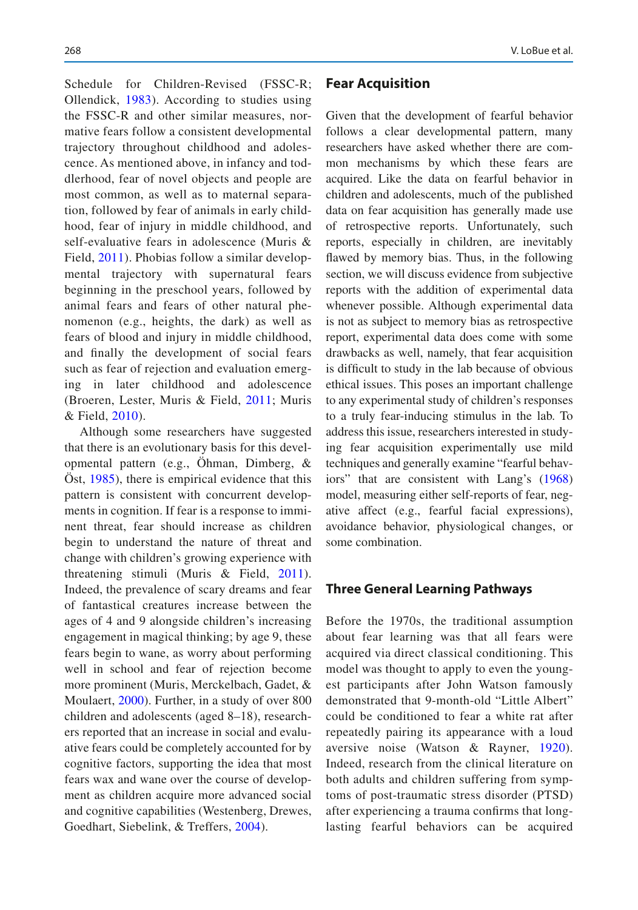Schedule for Children-Revised (FSSC-R; Ollendick, [1983](#page-23-8)). According to studies using the FSSC-R and other similar measures, normative fears follow a consistent developmental trajectory throughout childhood and adolescence. As mentioned above, in infancy and toddlerhood, fear of novel objects and people are most common, as well as to maternal separation, followed by fear of animals in early childhood, fear of injury in middle childhood, and self-evaluative fears in adolescence (Muris & Field, [2011](#page-23-9)). Phobias follow a similar developmental trajectory with supernatural fears beginning in the preschool years, followed by animal fears and fears of other natural phenomenon (e.g., heights, the dark) as well as fears of blood and injury in middle childhood, and finally the development of social fears such as fear of rejection and evaluation emerging in later childhood and adolescence (Broeren, Lester, Muris & Field, [2011](#page-23-9); Muris & Field, [2010](#page-23-10)).

Although some researchers have suggested that there is an evolutionary basis for this developmental pattern (e.g., Öhman, Dimberg, & Öst, [1985](#page-23-11)), there is empirical evidence that this pattern is consistent with concurrent developments in cognition. If fear is a response to imminent threat, fear should increase as children begin to understand the nature of threat and change with children's growing experience with threatening stimuli (Muris & Field, [2011\)](#page-23-9). Indeed, the prevalence of scary dreams and fear of fantastical creatures increase between the ages of 4 and 9 alongside children's increasing engagement in magical thinking; by age 9, these fears begin to wane, as worry about performing well in school and fear of rejection become more prominent (Muris, Merckelbach, Gadet, & Moulaert, [2000](#page-23-12)). Further, in a study of over 800 children and adolescents (aged 8–18), researchers reported that an increase in social and evaluative fears could be completely accounted for by cognitive factors, supporting the idea that most fears wax and wane over the course of development as children acquire more advanced social and cognitive capabilities (Westenberg, Drewes, Goedhart, Siebelink, & Treffers, [2004](#page-25-14)).

### **Fear Acquisition**

Given that the development of fearful behavior follows a clear developmental pattern, many researchers have asked whether there are common mechanisms by which these fears are acquired. Like the data on fearful behavior in children and adolescents, much of the published data on fear acquisition has generally made use of retrospective reports. Unfortunately, such reports, especially in children, are inevitably flawed by memory bias. Thus, in the following section, we will discuss evidence from subjective reports with the addition of experimental data whenever possible. Although experimental data is not as subject to memory bias as retrospective report, experimental data does come with some drawbacks as well, namely, that fear acquisition is difficult to study in the lab because of obvious ethical issues. This poses an important challenge to any experimental study of children's responses to a truly fear-inducing stimulus in the lab. To address this issue, researchers interested in studying fear acquisition experimentally use mild techniques and generally examine "fearful behaviors" that are consistent with Lang's [\(1968](#page-22-22)) model, measuring either self-reports of fear, negative affect (e.g., fearful facial expressions), avoidance behavior, physiological changes, or some combination.

#### **Three General Learning Pathways**

Before the 1970s, the traditional assumption about fear learning was that all fears were acquired via direct classical conditioning. This model was thought to apply to even the youngest participants after John Watson famously demonstrated that 9-month-old "Little Albert" could be conditioned to fear a white rat after repeatedly pairing its appearance with a loud aversive noise (Watson & Rayner, [1920\)](#page-25-15). Indeed, research from the clinical literature on both adults and children suffering from symptoms of post-traumatic stress disorder (PTSD) after experiencing a trauma confirms that longlasting fearful behaviors can be acquired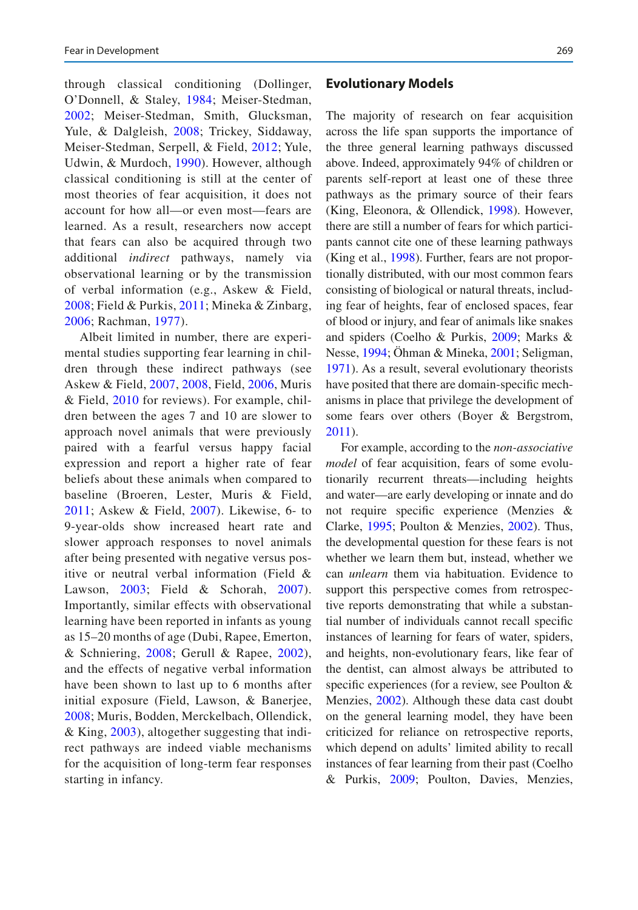through classical conditioning (Dollinger, O'Donnell, & Staley, [1984](#page-20-12); Meiser-Stedman, [2002;](#page-23-13) Meiser-Stedman, Smith, Glucksman, Yule, & Dalgleish, [2008](#page-23-14); Trickey, Siddaway, Meiser-Stedman, Serpell, & Field, [2012;](#page-25-16) Yule, Udwin, & Murdoch, [1990](#page-25-17)). However, although classical conditioning is still at the center of most theories of fear acquisition, it does not account for how all—or even most—fears are learned. As a result, researchers now accept that fears can also be acquired through two additional *indirect* pathways, namely via observational learning or by the transmission of verbal information (e.g., Askew & Field, [2008;](#page-19-20) Field & Purkis, [2011;](#page-20-13) Mineka & Zinbarg, [2006;](#page-23-15) Rachman, [1977\)](#page-24-16).

Albeit limited in number, there are experimental studies supporting fear learning in children through these indirect pathways (see Askew & Field, [2007](#page-19-21), [2008,](#page-19-20) Field, [2006](#page-20-14), Muris & Field, [2010](#page-23-10) for reviews). For example, children between the ages 7 and 10 are slower to approach novel animals that were previously paired with a fearful versus happy facial expression and report a higher rate of fear beliefs about these animals when compared to baseline (Broeren, Lester, Muris & Field, [2011;](#page-23-9) Askew & Field, [2007](#page-19-21)). Likewise, 6- to 9-year-olds show increased heart rate and slower approach responses to novel animals after being presented with negative versus positive or neutral verbal information (Field & Lawson, [2003;](#page-20-15) Field & Schorah, [2007\)](#page-20-16). Importantly, similar effects with observational learning have been reported in infants as young as 15–20 months of age (Dubi, Rapee, Emerton, & Schniering, [2008](#page-20-17); Gerull & Rapee, [2002\)](#page-21-17), and the effects of negative verbal information have been shown to last up to 6 months after initial exposure (Field, Lawson, & Banerjee, [2008;](#page-20-18) Muris, Bodden, Merckelbach, Ollendick, & King, [2003](#page-23-16)), altogether suggesting that indirect pathways are indeed viable mechanisms for the acquisition of long-term fear responses starting in infancy.

#### **Evolutionary Models**

The majority of research on fear acquisition across the life span supports the importance of the three general learning pathways discussed above. Indeed, approximately 94% of children or parents self-report at least one of these three pathways as the primary source of their fears (King, Eleonora, & Ollendick, [1998](#page-21-18)). However, there are still a number of fears for which participants cannot cite one of these learning pathways (King et al., [1998\)](#page-21-18). Further, fears are not proportionally distributed, with our most common fears consisting of biological or natural threats, including fear of heights, fear of enclosed spaces, fear of blood or injury, and fear of animals like snakes and spiders (Coelho & Purkis, [2009](#page-20-19); Marks & Nesse, [1994;](#page-23-17) Öhman & Mineka, [2001](#page-24-8); Seligman, [1971\)](#page-24-17). As a result, several evolutionary theorists have posited that there are domain-specific mechanisms in place that privilege the development of some fears over others (Boyer & Bergstrom, [2011\)](#page-19-22).

For example, according to the *non-associative model* of fear acquisition, fears of some evolutionarily recurrent threats—including heights and water—are early developing or innate and do not require specific experience (Menzies & Clarke, [1995](#page-23-18); Poulton & Menzies, [2002](#page-24-15)). Thus, the developmental question for these fears is not whether we learn them but, instead, whether we can *unlearn* them via habituation. Evidence to support this perspective comes from retrospective reports demonstrating that while a substantial number of individuals cannot recall specific instances of learning for fears of water, spiders, and heights, non-evolutionary fears, like fear of the dentist, can almost always be attributed to specific experiences (for a review, see Poulton & Menzies, [2002\)](#page-24-15). Although these data cast doubt on the general learning model, they have been criticized for reliance on retrospective reports, which depend on adults' limited ability to recall instances of fear learning from their past (Coelho & Purkis, [2009;](#page-20-19) Poulton, Davies, Menzies,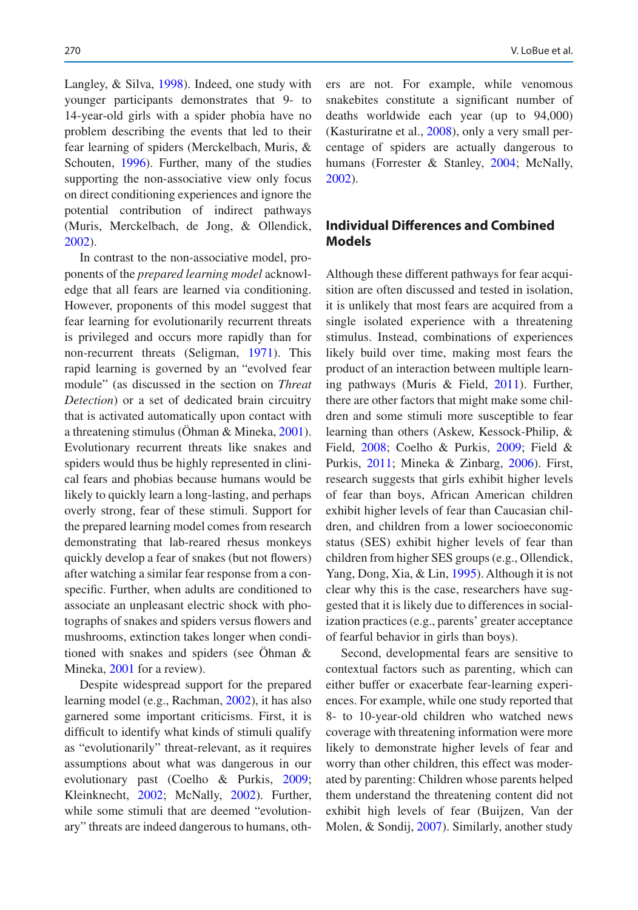Langley, & Silva, [1998](#page-24-18)). Indeed, one study with younger participants demonstrates that 9- to 14-year-old girls with a spider phobia have no problem describing the events that led to their fear learning of spiders (Merckelbach, Muris, & Schouten, [1996](#page-23-19)). Further, many of the studies supporting the non-associative view only focus on direct conditioning experiences and ignore the potential contribution of indirect pathways (Muris, Merckelbach, de Jong, & Ollendick, [2002](#page-23-20)).

In contrast to the non-associative model, proponents of the *prepared learning model* acknowledge that all fears are learned via conditioning. However, proponents of this model suggest that fear learning for evolutionarily recurrent threats is privileged and occurs more rapidly than for non-recurrent threats (Seligman, [1971](#page-24-17)). This rapid learning is governed by an "evolved fear module" (as discussed in the section on *Threat Detection*) or a set of dedicated brain circuitry that is activated automatically upon contact with a threatening stimulus (Öhman & Mineka, [2001\)](#page-24-8). Evolutionary recurrent threats like snakes and spiders would thus be highly represented in clinical fears and phobias because humans would be likely to quickly learn a long-lasting, and perhaps overly strong, fear of these stimuli. Support for the prepared learning model comes from research demonstrating that lab-reared rhesus monkeys quickly develop a fear of snakes (but not flowers) after watching a similar fear response from a conspecific. Further, when adults are conditioned to associate an unpleasant electric shock with photographs of snakes and spiders versus flowers and mushrooms, extinction takes longer when conditioned with snakes and spiders (see Öhman & Mineka, [2001](#page-24-8) for a review).

Despite widespread support for the prepared learning model (e.g., Rachman, [2002\)](#page-24-19), it has also garnered some important criticisms. First, it is difficult to identify what kinds of stimuli qualify as "evolutionarily" threat-relevant, as it requires assumptions about what was dangerous in our evolutionary past (Coelho & Purkis, [2009;](#page-20-19) Kleinknecht, [2002](#page-21-19); McNally, [2002\)](#page-23-21). Further, while some stimuli that are deemed "evolutionary" threats are indeed dangerous to humans, others are not. For example, while venomous snakebites constitute a significant number of deaths worldwide each year (up to 94,000) (Kasturiratne et al., [2008\)](#page-21-20), only a very small percentage of spiders are actually dangerous to humans (Forrester & Stanley, [2004](#page-21-21); McNally, [2002\)](#page-23-21).

# **Individual Differences and Combined Models**

Although these different pathways for fear acquisition are often discussed and tested in isolation, it is unlikely that most fears are acquired from a single isolated experience with a threatening stimulus. Instead, combinations of experiences likely build over time, making most fears the product of an interaction between multiple learning pathways (Muris & Field, [2011](#page-23-9)). Further, there are other factors that might make some children and some stimuli more susceptible to fear learning than others (Askew, Kessock-Philip, & Field, [2008;](#page-19-23) Coelho & Purkis, [2009;](#page-20-19) Field & Purkis, [2011](#page-20-13); Mineka & Zinbarg, [2006\)](#page-23-15). First, research suggests that girls exhibit higher levels of fear than boys, African American children exhibit higher levels of fear than Caucasian children, and children from a lower socioeconomic status (SES) exhibit higher levels of fear than children from higher SES groups (e.g., Ollendick, Yang, Dong, Xia, & Lin, [1995](#page-23-22)). Although it is not clear why this is the case, researchers have suggested that it is likely due to differences in socialization practices (e.g., parents' greater acceptance of fearful behavior in girls than boys).

Second, developmental fears are sensitive to contextual factors such as parenting, which can either buffer or exacerbate fear-learning experiences. For example, while one study reported that 8- to 10-year-old children who watched news coverage with threatening information were more likely to demonstrate higher levels of fear and worry than other children, this effect was moderated by parenting: Children whose parents helped them understand the threatening content did not exhibit high levels of fear (Buijzen, Van der Molen, & Sondij, [2007\)](#page-19-24). Similarly, another study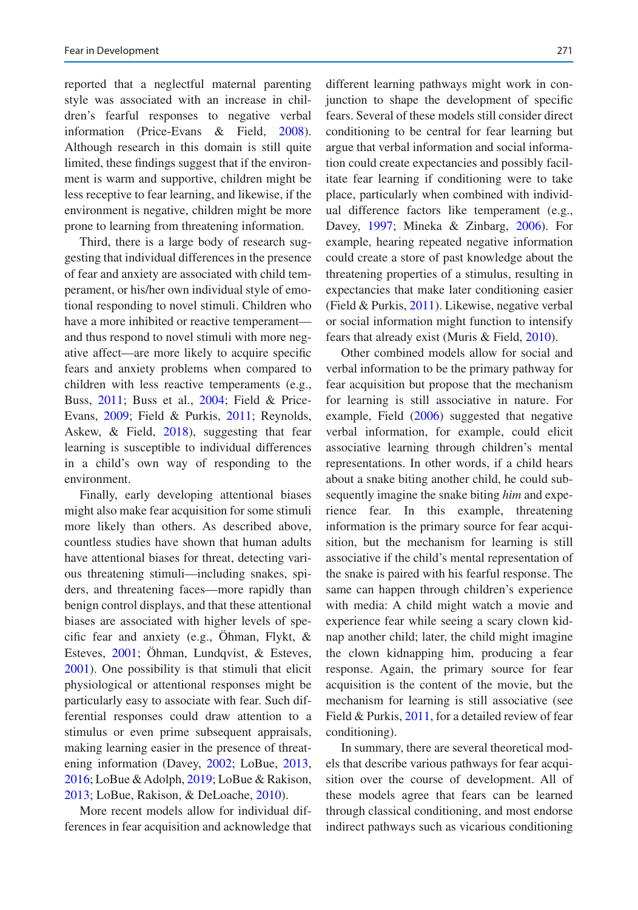reported that a neglectful maternal parenting style was associated with an increase in children's fearful responses to negative verbal information (Price-Evans & Field, [2008\)](#page-24-20). Although research in this domain is still quite limited, these findings suggest that if the environment is warm and supportive, children might be less receptive to fear learning, and likewise, if the environment is negative, children might be more prone to learning from threatening information.

Third, there is a large body of research suggesting that individual differences in the presence of fear and anxiety are associated with child temperament, or his/her own individual style of emotional responding to novel stimuli. Children who have a more inhibited or reactive temperament and thus respond to novel stimuli with more negative affect—are more likely to acquire specific fears and anxiety problems when compared to children with less reactive temperaments (e.g., Buss, [2011;](#page-19-4) Buss et al., [2004;](#page-19-19) Field & Price-Evans, [2009](#page-20-20); Field & Purkis, [2011](#page-20-13); Reynolds, Askew, & Field, [2018](#page-24-21)), suggesting that fear learning is susceptible to individual differences in a child's own way of responding to the environment.

Finally, early developing attentional biases might also make fear acquisition for some stimuli more likely than others. As described above, countless studies have shown that human adults have attentional biases for threat, detecting various threatening stimuli—including snakes, spiders, and threatening faces—more rapidly than benign control displays, and that these attentional biases are associated with higher levels of specific fear and anxiety (e.g., Öhman, Flykt, & Esteves, [2001;](#page-23-4) Öhman, Lundqvist, & Esteves, [2001](#page-23-23)). One possibility is that stimuli that elicit physiological or attentional responses might be particularly easy to associate with fear. Such differential responses could draw attention to a stimulus or even prime subsequent appraisals, making learning easier in the presence of threatening information (Davey, [2002](#page-20-21); LoBue, [2013](#page-22-25), [2016](#page-22-26); LoBue & Adolph, [2019](#page-22-23); LoBue & Rakison, [2013](#page-22-27); LoBue, Rakison, & DeLoache, [2010\)](#page-22-28).

More recent models allow for individual differences in fear acquisition and acknowledge that different learning pathways might work in conjunction to shape the development of specific fears. Several of these models still consider direct conditioning to be central for fear learning but argue that verbal information and social information could create expectancies and possibly facilitate fear learning if conditioning were to take place, particularly when combined with individual difference factors like temperament (e.g., Davey, [1997;](#page-20-22) Mineka & Zinbarg, [2006](#page-23-15)). For example, hearing repeated negative information could create a store of past knowledge about the threatening properties of a stimulus, resulting in expectancies that make later conditioning easier (Field & Purkis, [2011](#page-20-13)). Likewise, negative verbal or social information might function to intensify fears that already exist (Muris & Field, [2010](#page-23-10)).

Other combined models allow for social and verbal information to be the primary pathway for fear acquisition but propose that the mechanism for learning is still associative in nature. For example, Field ([2006\)](#page-20-14) suggested that negative verbal information, for example, could elicit associative learning through children's mental representations. In other words, if a child hears about a snake biting another child, he could subsequently imagine the snake biting *him* and experience fear. In this example, threatening information is the primary source for fear acquisition, but the mechanism for learning is still associative if the child's mental representation of the snake is paired with his fearful response. The same can happen through children's experience with media: A child might watch a movie and experience fear while seeing a scary clown kidnap another child; later, the child might imagine the clown kidnapping him, producing a fear response. Again, the primary source for fear acquisition is the content of the movie, but the mechanism for learning is still associative (see Field & Purkis, [2011](#page-20-13), for a detailed review of fear conditioning).

In summary, there are several theoretical models that describe various pathways for fear acquisition over the course of development. All of these models agree that fears can be learned through classical conditioning, and most endorse indirect pathways such as vicarious conditioning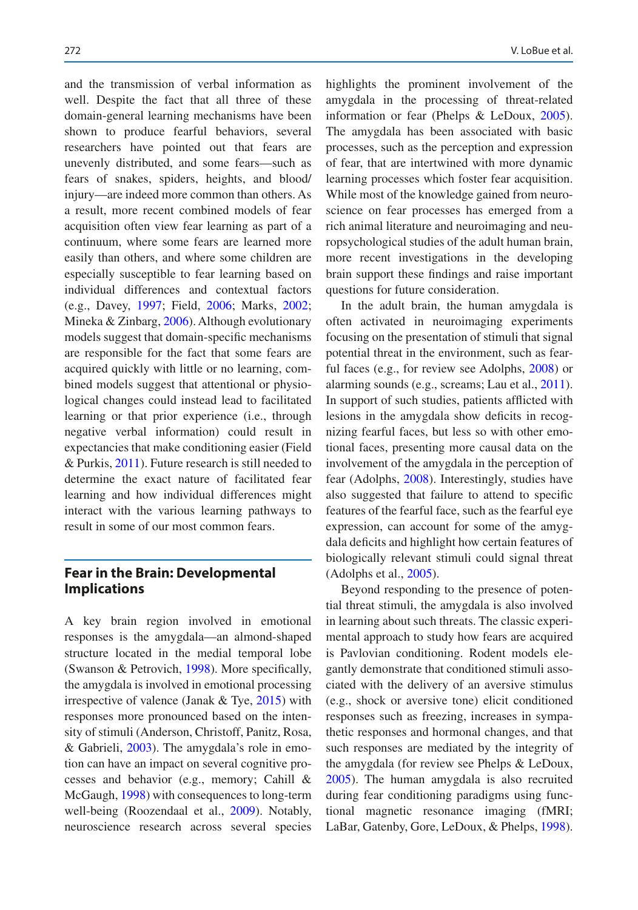and the transmission of verbal information as well. Despite the fact that all three of these domain-general learning mechanisms have been shown to produce fearful behaviors, several researchers have pointed out that fears are unevenly distributed, and some fears—such as fears of snakes, spiders, heights, and blood/ injury—are indeed more common than others. As a result, more recent combined models of fear acquisition often view fear learning as part of a continuum, where some fears are learned more easily than others, and where some children are especially susceptible to fear learning based on individual differences and contextual factors (e.g., Davey, [1997](#page-20-22); Field, [2006;](#page-20-14) Marks, [2002;](#page-22-29) Mineka & Zinbarg, [2006](#page-23-15)). Although evolutionary models suggest that domain-specific mechanisms are responsible for the fact that some fears are acquired quickly with little or no learning, combined models suggest that attentional or physiological changes could instead lead to facilitated learning or that prior experience (i.e., through negative verbal information) could result in expectancies that make conditioning easier (Field & Purkis, [2011](#page-20-13)). Future research is still needed to determine the exact nature of facilitated fear learning and how individual differences might interact with the various learning pathways to result in some of our most common fears.

# **Fear in the Brain: Developmental Implications**

A key brain region involved in emotional responses is the amygdala—an almond-shaped structure located in the medial temporal lobe (Swanson & Petrovich, [1998\)](#page-25-18). More specifically, the amygdala is involved in emotional processing irrespective of valence (Janak & Tye, [2015\)](#page-21-22) with responses more pronounced based on the intensity of stimuli (Anderson, Christoff, Panitz, Rosa, & Gabrieli, [2003](#page-18-3)). The amygdala's role in emotion can have an impact on several cognitive processes and behavior (e.g., memory; Cahill & McGaugh, [1998](#page-19-25)) with consequences to long-term well-being (Roozendaal et al., [2009](#page-24-22)). Notably, neuroscience research across several species

highlights the prominent involvement of the amygdala in the processing of threat-related information or fear (Phelps & LeDoux, [2005\)](#page-24-23). The amygdala has been associated with basic processes, such as the perception and expression of fear, that are intertwined with more dynamic learning processes which foster fear acquisition. While most of the knowledge gained from neuroscience on fear processes has emerged from a rich animal literature and neuroimaging and neuropsychological studies of the adult human brain, more recent investigations in the developing brain support these findings and raise important questions for future consideration.

In the adult brain, the human amygdala is often activated in neuroimaging experiments focusing on the presentation of stimuli that signal potential threat in the environment, such as fearful faces (e.g., for review see Adolphs, [2008\)](#page-18-4) or alarming sounds (e.g., screams; Lau et al., [2011\)](#page-22-30). In support of such studies, patients afflicted with lesions in the amygdala show deficits in recognizing fearful faces, but less so with other emotional faces, presenting more causal data on the involvement of the amygdala in the perception of fear (Adolphs, [2008\)](#page-18-4). Interestingly, studies have also suggested that failure to attend to specific features of the fearful face, such as the fearful eye expression, can account for some of the amygdala deficits and highlight how certain features of biologically relevant stimuli could signal threat (Adolphs et al., [2005](#page-18-5)).

Beyond responding to the presence of potential threat stimuli, the amygdala is also involved in learning about such threats. The classic experimental approach to study how fears are acquired is Pavlovian conditioning. Rodent models elegantly demonstrate that conditioned stimuli associated with the delivery of an aversive stimulus (e.g., shock or aversive tone) elicit conditioned responses such as freezing, increases in sympathetic responses and hormonal changes, and that such responses are mediated by the integrity of the amygdala (for review see Phelps & LeDoux, [2005\)](#page-24-23). The human amygdala is also recruited during fear conditioning paradigms using functional magnetic resonance imaging (fMRI; LaBar, Gatenby, Gore, LeDoux, & Phelps, [1998\)](#page-22-31).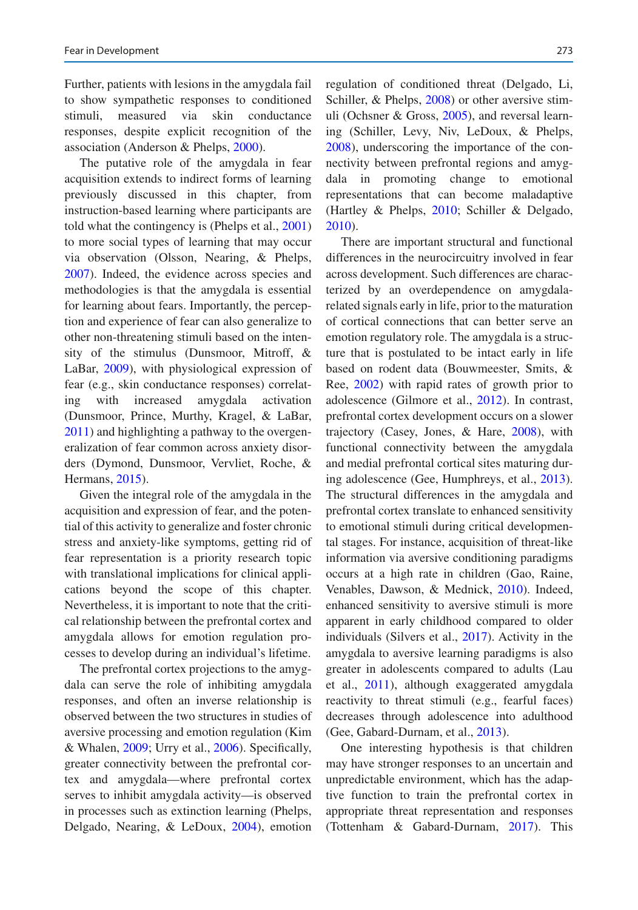Further, patients with lesions in the amygdala fail to show sympathetic responses to conditioned stimuli, measured via skin conductance responses, despite explicit recognition of the association (Anderson & Phelps, [2000\)](#page-19-26).

The putative role of the amygdala in fear acquisition extends to indirect forms of learning previously discussed in this chapter, from instruction-based learning where participants are told what the contingency is (Phelps et al., [2001](#page-24-24)) to more social types of learning that may occur via observation (Olsson, Nearing, & Phelps, [2007](#page-23-24)). Indeed, the evidence across species and methodologies is that the amygdala is essential for learning about fears. Importantly, the perception and experience of fear can also generalize to other non-threatening stimuli based on the intensity of the stimulus (Dunsmoor, Mitroff, & LaBar, [2009](#page-20-23)), with physiological expression of fear (e.g., skin conductance responses) correlating with increased amygdala activation (Dunsmoor, Prince, Murthy, Kragel, & LaBar, [2011](#page-20-24)) and highlighting a pathway to the overgeneralization of fear common across anxiety disorders (Dymond, Dunsmoor, Vervliet, Roche, & Hermans, [2015](#page-20-25)).

Given the integral role of the amygdala in the acquisition and expression of fear, and the potential of this activity to generalize and foster chronic stress and anxiety-like symptoms, getting rid of fear representation is a priority research topic with translational implications for clinical applications beyond the scope of this chapter. Nevertheless, it is important to note that the critical relationship between the prefrontal cortex and amygdala allows for emotion regulation processes to develop during an individual's lifetime.

The prefrontal cortex projections to the amygdala can serve the role of inhibiting amygdala responses, and often an inverse relationship is observed between the two structures in studies of aversive processing and emotion regulation (Kim & Whalen, [2009](#page-21-23); Urry et al., [2006](#page-25-19)). Specifically, greater connectivity between the prefrontal cortex and amygdala—where prefrontal cortex serves to inhibit amygdala activity—is observed in processes such as extinction learning (Phelps, Delgado, Nearing, & LeDoux, [2004](#page-24-25)), emotion

regulation of conditioned threat (Delgado, Li, Schiller, & Phelps, [2008\)](#page-20-26) or other aversive stimuli (Ochsner & Gross, [2005](#page-23-25)), and reversal learning (Schiller, Levy, Niv, LeDoux, & Phelps, [2008\)](#page-24-26), underscoring the importance of the connectivity between prefrontal regions and amygdala in promoting change to emotional representations that can become maladaptive (Hartley & Phelps, [2010;](#page-21-24) Schiller & Delgado, [2010\)](#page-24-27).

There are important structural and functional differences in the neurocircuitry involved in fear across development. Such differences are characterized by an overdependence on amygdalarelated signals early in life, prior to the maturation of cortical connections that can better serve an emotion regulatory role. The amygdala is a structure that is postulated to be intact early in life based on rodent data (Bouwmeester, Smits, & Ree, [2002](#page-19-27)) with rapid rates of growth prior to adolescence (Gilmore et al., [2012\)](#page-21-25). In contrast, prefrontal cortex development occurs on a slower trajectory (Casey, Jones, & Hare, [2008\)](#page-19-28), with functional connectivity between the amygdala and medial prefrontal cortical sites maturing during adolescence (Gee, Humphreys, et al., [2013\)](#page-21-26). The structural differences in the amygdala and prefrontal cortex translate to enhanced sensitivity to emotional stimuli during critical developmental stages. For instance, acquisition of threat-like information via aversive conditioning paradigms occurs at a high rate in children (Gao, Raine, Venables, Dawson, & Mednick, [2010\)](#page-21-27). Indeed, enhanced sensitivity to aversive stimuli is more apparent in early childhood compared to older individuals (Silvers et al., [2017\)](#page-24-28). Activity in the amygdala to aversive learning paradigms is also greater in adolescents compared to adults (Lau et al., [2011\)](#page-22-30), although exaggerated amygdala reactivity to threat stimuli (e.g., fearful faces) decreases through adolescence into adulthood (Gee, Gabard-Durnam, et al., [2013](#page-21-28)).

One interesting hypothesis is that children may have stronger responses to an uncertain and unpredictable environment, which has the adaptive function to train the prefrontal cortex in appropriate threat representation and responses (Tottenham & Gabard-Durnam, [2017](#page-25-20)). This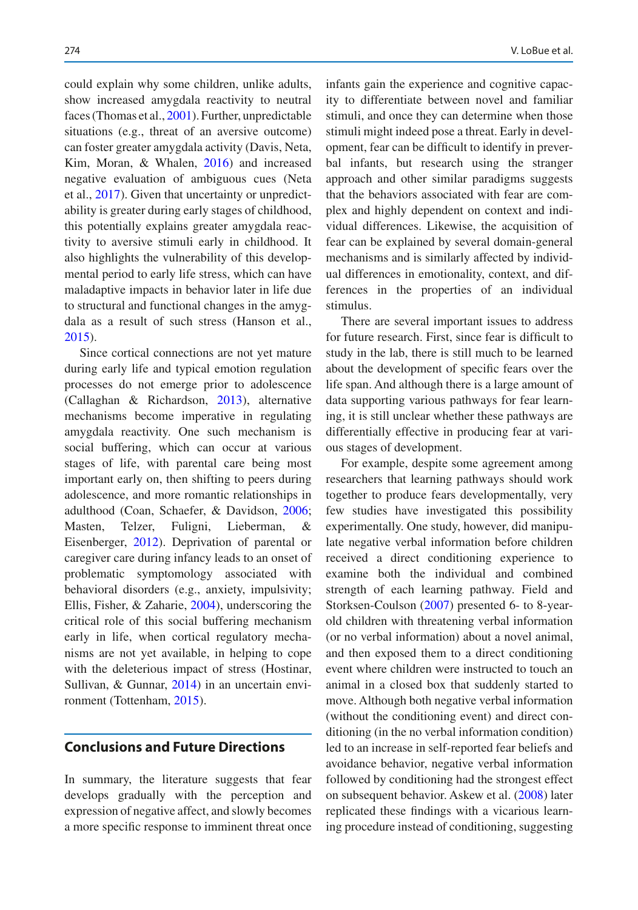could explain why some children, unlike adults, show increased amygdala reactivity to neutral faces (Thomas et al., [2001](#page-25-21)). Further, unpredictable situations (e.g., threat of an aversive outcome) can foster greater amygdala activity (Davis, Neta, Kim, Moran, & Whalen, [2016](#page-20-27)) and increased negative evaluation of ambiguous cues (Neta et al., [2017](#page-23-26)). Given that uncertainty or unpredictability is greater during early stages of childhood, this potentially explains greater amygdala reactivity to aversive stimuli early in childhood. It also highlights the vulnerability of this developmental period to early life stress, which can have maladaptive impacts in behavior later in life due to structural and functional changes in the amygdala as a result of such stress (Hanson et al., [2015](#page-21-29)).

Since cortical connections are not yet mature during early life and typical emotion regulation processes do not emerge prior to adolescence (Callaghan & Richardson, [2013\)](#page-19-29), alternative mechanisms become imperative in regulating amygdala reactivity. One such mechanism is social buffering, which can occur at various stages of life, with parental care being most important early on, then shifting to peers during adolescence, and more romantic relationships in adulthood (Coan, Schaefer, & Davidson, [2006;](#page-19-30) Masten, Telzer, Fuligni, Lieberman, & Eisenberger, [2012](#page-23-27)). Deprivation of parental or caregiver care during infancy leads to an onset of problematic symptomology associated with behavioral disorders (e.g., anxiety, impulsivity; Ellis, Fisher, & Zaharie, [2004\)](#page-20-28), underscoring the critical role of this social buffering mechanism early in life, when cortical regulatory mechanisms are not yet available, in helping to cope with the deleterious impact of stress (Hostinar, Sullivan, & Gunnar, [2014\)](#page-21-30) in an uncertain environment (Tottenham, [2015\)](#page-25-22).

# **Conclusions and Future Directions**

In summary, the literature suggests that fear develops gradually with the perception and expression of negative affect, and slowly becomes a more specific response to imminent threat once

infants gain the experience and cognitive capacity to differentiate between novel and familiar stimuli, and once they can determine when those stimuli might indeed pose a threat. Early in development, fear can be difficult to identify in preverbal infants, but research using the stranger approach and other similar paradigms suggests that the behaviors associated with fear are complex and highly dependent on context and individual differences. Likewise, the acquisition of fear can be explained by several domain-general mechanisms and is similarly affected by individual differences in emotionality, context, and differences in the properties of an individual stimulus.

There are several important issues to address for future research. First, since fear is difficult to study in the lab, there is still much to be learned about the development of specific fears over the life span. And although there is a large amount of data supporting various pathways for fear learning, it is still unclear whether these pathways are differentially effective in producing fear at various stages of development.

For example, despite some agreement among researchers that learning pathways should work together to produce fears developmentally, very few studies have investigated this possibility experimentally. One study, however, did manipulate negative verbal information before children received a direct conditioning experience to examine both the individual and combined strength of each learning pathway. Field and Storksen-Coulson ([2007\)](#page-21-31) presented 6- to 8-yearold children with threatening verbal information (or no verbal information) about a novel animal, and then exposed them to a direct conditioning event where children were instructed to touch an animal in a closed box that suddenly started to move. Although both negative verbal information (without the conditioning event) and direct conditioning (in the no verbal information condition) led to an increase in self-reported fear beliefs and avoidance behavior, negative verbal information followed by conditioning had the strongest effect on subsequent behavior. Askew et al. [\(2008](#page-19-23)) later replicated these findings with a vicarious learning procedure instead of conditioning, suggesting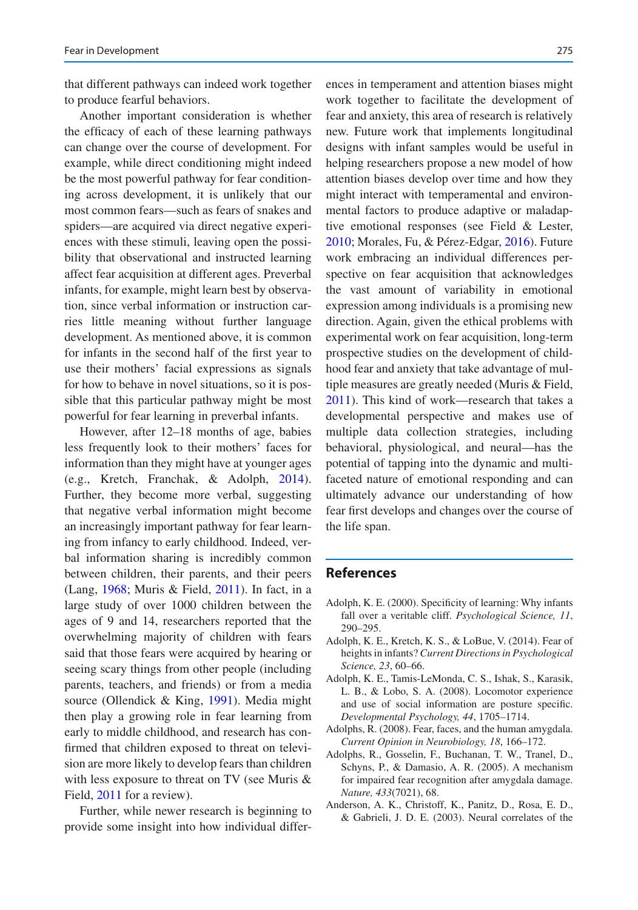that different pathways can indeed work together to produce fearful behaviors.

Another important consideration is whether the efficacy of each of these learning pathways can change over the course of development. For example, while direct conditioning might indeed be the most powerful pathway for fear conditioning across development, it is unlikely that our most common fears—such as fears of snakes and spiders—are acquired via direct negative experiences with these stimuli, leaving open the possibility that observational and instructed learning affect fear acquisition at different ages. Preverbal infants, for example, might learn best by observation, since verbal information or instruction carries little meaning without further language development. As mentioned above, it is common for infants in the second half of the first year to use their mothers' facial expressions as signals for how to behave in novel situations, so it is possible that this particular pathway might be most powerful for fear learning in preverbal infants.

However, after 12–18 months of age, babies less frequently look to their mothers' faces for information than they might have at younger ages (e.g., Kretch, Franchak, & Adolph, [2014\)](#page-22-32). Further, they become more verbal, suggesting that negative verbal information might become an increasingly important pathway for fear learning from infancy to early childhood. Indeed, verbal information sharing is incredibly common between children, their parents, and their peers (Lang, [1968;](#page-22-22) Muris & Field, [2011](#page-23-9)). In fact, in a large study of over 1000 children between the ages of 9 and 14, researchers reported that the overwhelming majority of children with fears said that those fears were acquired by hearing or seeing scary things from other people (including parents, teachers, and friends) or from a media source (Ollendick & King, [1991\)](#page-23-28). Media might then play a growing role in fear learning from early to middle childhood, and research has confirmed that children exposed to threat on television are more likely to develop fears than children with less exposure to threat on TV (see Muris & Field, [2011](#page-23-9) for a review).

Further, while newer research is beginning to provide some insight into how individual differences in temperament and attention biases might work together to facilitate the development of fear and anxiety, this area of research is relatively new. Future work that implements longitudinal designs with infant samples would be useful in helping researchers propose a new model of how attention biases develop over time and how they might interact with temperamental and environmental factors to produce adaptive or maladaptive emotional responses (see Field & Lester, [2010;](#page-20-29) Morales, Fu, & Pérez-Edgar, [2016](#page-23-29)). Future work embracing an individual differences perspective on fear acquisition that acknowledges the vast amount of variability in emotional expression among individuals is a promising new direction. Again, given the ethical problems with experimental work on fear acquisition, long-term prospective studies on the development of childhood fear and anxiety that take advantage of multiple measures are greatly needed (Muris & Field, [2011\)](#page-23-9). This kind of work—research that takes a developmental perspective and makes use of multiple data collection strategies, including behavioral, physiological, and neural—has the potential of tapping into the dynamic and multifaceted nature of emotional responding and can ultimately advance our understanding of how fear first develops and changes over the course of the life span.

#### **References**

- <span id="page-18-1"></span>Adolph, K. E. (2000). Specificity of learning: Why infants fall over a veritable cliff. *Psychological Science, 11*, 290–295.
- <span id="page-18-0"></span>Adolph, K. E., Kretch, K. S., & LoBue, V. (2014). Fear of heights in infants? *Current Directions in Psychological Science, 23*, 60–66.
- <span id="page-18-2"></span>Adolph, K. E., Tamis-LeMonda, C. S., Ishak, S., Karasik, L. B., & Lobo, S. A. (2008). Locomotor experience and use of social information are posture specific. *Developmental Psychology, 44*, 1705–1714.
- <span id="page-18-4"></span>Adolphs, R. (2008). Fear, faces, and the human amygdala. *Current Opinion in Neurobiology, 18*, 166–172.
- <span id="page-18-5"></span>Adolphs, R., Gosselin, F., Buchanan, T. W., Tranel, D., Schyns, P., & Damasio, A. R. (2005). A mechanism for impaired fear recognition after amygdala damage. *Nature, 433*(7021), 68.
- <span id="page-18-3"></span>Anderson, A. K., Christoff, K., Panitz, D., Rosa, E. D., & Gabrieli, J. D. E. (2003). Neural correlates of the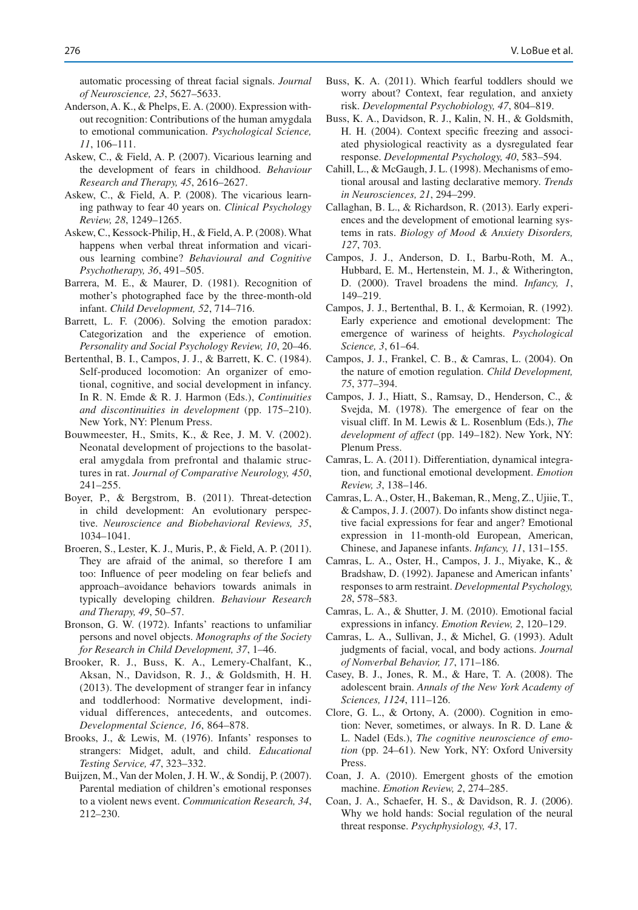automatic processing of threat facial signals. *Journal of Neuroscience, 23*, 5627–5633.

- <span id="page-19-26"></span>Anderson, A. K., & Phelps, E. A. (2000). Expression without recognition: Contributions of the human amygdala to emotional communication. *Psychological Science, 11*, 106–111.
- <span id="page-19-21"></span>Askew, C., & Field, A. P. (2007). Vicarious learning and the development of fears in childhood. *Behaviour Research and Therapy, 45*, 2616–2627.
- <span id="page-19-20"></span>Askew, C., & Field, A. P. (2008). The vicarious learning pathway to fear 40 years on. *Clinical Psychology Review, 28*, 1249–1265.
- <span id="page-19-23"></span>Askew, C., Kessock-Philip, H., & Field, A. P. (2008). What happens when verbal threat information and vicarious learning combine? *Behavioural and Cognitive Psychotherapy, 36*, 491–505.
- <span id="page-19-7"></span>Barrera, M. E., & Maurer, D. (1981). Recognition of mother's photographed face by the three-month-old infant. *Child Development, 52*, 714–716.
- <span id="page-19-2"></span>Barrett, L. F. (2006). Solving the emotion paradox: Categorization and the experience of emotion. *Personality and Social Psychology Review, 10*, 20–46.
- <span id="page-19-14"></span>Bertenthal, B. I., Campos, J. J., & Barrett, K. C. (1984). Self-produced locomotion: An organizer of emotional, cognitive, and social development in infancy. In R. N. Emde & R. J. Harmon (Eds.), *Continuities and discontinuities in development* (pp. 175–210). New York, NY: Plenum Press.
- <span id="page-19-27"></span>Bouwmeester, H., Smits, K., & Ree, J. M. V. (2002). Neonatal development of projections to the basolateral amygdala from prefrontal and thalamic structures in rat. *Journal of Comparative Neurology, 450*, 241–255.
- <span id="page-19-22"></span>Boyer, P., & Bergstrom, B. (2011). Threat-detection in child development: An evolutionary perspective. *Neuroscience and Biobehavioral Reviews, 35*, 1034–1041.
- <span id="page-19-6"></span>Broeren, S., Lester, K. J., Muris, P., & Field, A. P. (2011). They are afraid of the animal, so therefore I am too: Influence of peer modeling on fear beliefs and approach–avoidance behaviors towards animals in typically developing children. *Behaviour Research and Therapy, 49*, 50–57.
- <span id="page-19-16"></span>Bronson, G. W. (1972). Infants' reactions to unfamiliar persons and novel objects. *Monographs of the Society for Research in Child Development, 37*, 1–46.
- <span id="page-19-18"></span>Brooker, R. J., Buss, K. A., Lemery-Chalfant, K., Aksan, N., Davidson, R. J., & Goldsmith, H. H. (2013). The development of stranger fear in infancy and toddlerhood: Normative development, individual differences, antecedents, and outcomes. *Developmental Science, 16*, 864–878.
- <span id="page-19-17"></span>Brooks, J., & Lewis, M. (1976). Infants' responses to strangers: Midget, adult, and child. *Educational Testing Service, 47*, 323–332.
- <span id="page-19-24"></span>Buijzen, M., Van der Molen, J. H. W., & Sondij, P. (2007). Parental mediation of children's emotional responses to a violent news event. *Communication Research, 34*, 212–230.
- <span id="page-19-4"></span>Buss, K. A. (2011). Which fearful toddlers should we worry about? Context, fear regulation, and anxiety risk. *Developmental Psychobiology, 47*, 804–819.
- <span id="page-19-19"></span>Buss, K. A., Davidson, R. J., Kalin, N. H., & Goldsmith, H. H. (2004). Context specific freezing and associated physiological reactivity as a dysregulated fear response. *Developmental Psychology, 40*, 583–594.
- <span id="page-19-25"></span>Cahill, L., & McGaugh, J. L. (1998). Mechanisms of emotional arousal and lasting declarative memory. *Trends in Neurosciences, 21*, 294–299.
- <span id="page-19-29"></span>Callaghan, B. L., & Richardson, R. (2013). Early experiences and the development of emotional learning systems in rats. *Biology of Mood & Anxiety Disorders, 127*, 703.
- <span id="page-19-8"></span>Campos, J. J., Anderson, D. I., Barbu-Roth, M. A., Hubbard, E. M., Hertenstein, M. J., & Witherington, D. (2000). Travel broadens the mind. *Infancy, 1*, 149–219.
- <span id="page-19-13"></span>Campos, J. J., Bertenthal, B. I., & Kermoian, R. (1992). Early experience and emotional development: The emergence of wariness of heights. *Psychological Science, 3*, 61–64.
- <span id="page-19-0"></span>Campos, J. J., Frankel, C. B., & Camras, L. (2004). On the nature of emotion regulation. *Child Development, 75*, 377–394.
- <span id="page-19-15"></span>Campos, J. J., Hiatt, S., Ramsay, D., Henderson, C., & Svejda, M. (1978). The emergence of fear on the visual cliff. In M. Lewis & L. Rosenblum (Eds.), *The development of affect* (pp. 149–182). New York, NY: Plenum Press.
- <span id="page-19-5"></span>Camras, L. A. (2011). Differentiation, dynamical integration, and functional emotional development. *Emotion Review, 3*, 138–146.
- <span id="page-19-10"></span>Camras, L. A., Oster, H., Bakeman, R., Meng, Z., Ujiie, T., & Campos, J. J. (2007). Do infants show distinct negative facial expressions for fear and anger? Emotional expression in 11-month-old European, American, Chinese, and Japanese infants. *Infancy, 11*, 131–155.
- <span id="page-19-11"></span>Camras, L. A., Oster, H., Campos, J. J., Miyake, K., & Bradshaw, D. (1992). Japanese and American infants' responses to arm restraint. *Developmental Psychology, 28*, 578–583.
- <span id="page-19-9"></span>Camras, L. A., & Shutter, J. M. (2010). Emotional facial expressions in infancy. *Emotion Review, 2*, 120–129.
- <span id="page-19-12"></span>Camras, L. A., Sullivan, J., & Michel, G. (1993). Adult judgments of facial, vocal, and body actions. *Journal of Nonverbal Behavior, 17*, 171–186.
- <span id="page-19-28"></span>Casey, B. J., Jones, R. M., & Hare, T. A. (2008). The adolescent brain. *Annals of the New York Academy of Sciences, 1124*, 111–126.
- <span id="page-19-3"></span>Clore, G. L., & Ortony, A. (2000). Cognition in emotion: Never, sometimes, or always. In R. D. Lane & L. Nadel (Eds.), *The cognitive neuroscience of emotion* (pp. 24–61). New York, NY: Oxford University Press.
- <span id="page-19-1"></span>Coan, J. A. (2010). Emergent ghosts of the emotion machine. *Emotion Review, 2*, 274–285.
- <span id="page-19-30"></span>Coan, J. A., Schaefer, H. S., & Davidson, R. J. (2006). Why we hold hands: Social regulation of the neural threat response. *Psychphysiology, 43*, 17.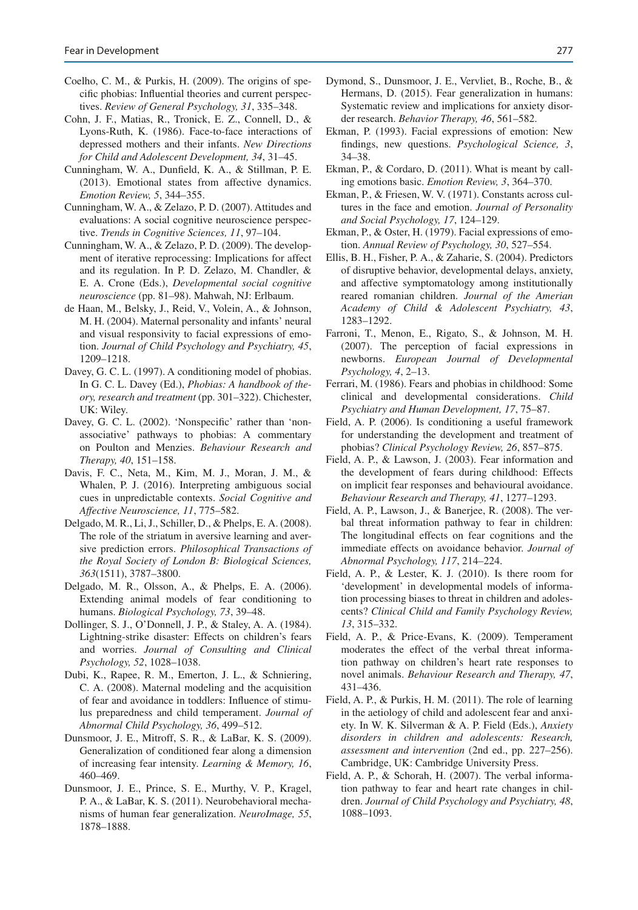- <span id="page-20-19"></span>Coelho, C. M., & Purkis, H. (2009). The origins of specific phobias: Influential theories and current perspectives. *Review of General Psychology, 31*, 335–348.
- <span id="page-20-10"></span>Cohn, J. F., Matias, R., Tronick, E. Z., Connell, D., & Lyons-Ruth, K. (1986). Face-to-face interactions of depressed mothers and their infants. *New Directions for Child and Adolescent Development, 34*, 31–45.
- <span id="page-20-7"></span>Cunningham, W. A., Dunfield, K. A., & Stillman, P. E. (2013). Emotional states from affective dynamics. *Emotion Review, 5*, 344–355.
- <span id="page-20-5"></span>Cunningham, W. A., & Zelazo, P. D. (2007). Attitudes and evaluations: A social cognitive neuroscience perspective. *Trends in Cognitive Sciences, 11*, 97–104.
- <span id="page-20-6"></span>Cunningham, W. A., & Zelazo, P. D. (2009). The development of iterative reprocessing: Implications for affect and its regulation. In P. D. Zelazo, M. Chandler, & E. A. Crone (Eds.), *Developmental social cognitive neuroscience* (pp. 81–98). Mahwah, NJ: Erlbaum.
- <span id="page-20-9"></span>de Haan, M., Belsky, J., Reid, V., Volein, A., & Johnson, M. H. (2004). Maternal personality and infants' neural and visual responsivity to facial expressions of emotion. *Journal of Child Psychology and Psychiatry, 45*, 1209–1218.
- <span id="page-20-22"></span>Davey, G. C. L. (1997). A conditioning model of phobias. In G. C. L. Davey (Ed.), *Phobias: A handbook of theory, research and treatment* (pp. 301–322). Chichester, UK: Wiley.
- <span id="page-20-21"></span>Davey, G. C. L. (2002). 'Nonspecific' rather than 'nonassociative' pathways to phobias: A commentary on Poulton and Menzies. *Behaviour Research and Therapy, 40*, 151–158.
- <span id="page-20-27"></span>Davis, F. C., Neta, M., Kim, M. J., Moran, J. M., & Whalen, P. J. (2016). Interpreting ambiguous social cues in unpredictable contexts. *Social Cognitive and Affective Neuroscience, 11*, 775–582.
- <span id="page-20-26"></span>Delgado, M. R., Li, J., Schiller, D., & Phelps, E. A. (2008). The role of the striatum in aversive learning and aversive prediction errors. *Philosophical Transactions of the Royal Society of London B: Biological Sciences, 363*(1511), 3787–3800.
- <span id="page-20-0"></span>Delgado, M. R., Olsson, A., & Phelps, E. A. (2006). Extending animal models of fear conditioning to humans. *Biological Psychology, 73*, 39–48.
- <span id="page-20-12"></span>Dollinger, S. J., O'Donnell, J. P., & Staley, A. A. (1984). Lightning-strike disaster: Effects on children's fears and worries. *Journal of Consulting and Clinical Psychology, 52*, 1028–1038.
- <span id="page-20-17"></span>Dubi, K., Rapee, R. M., Emerton, J. L., & Schniering, C. A. (2008). Maternal modeling and the acquisition of fear and avoidance in toddlers: Influence of stimulus preparedness and child temperament. *Journal of Abnormal Child Psychology, 36*, 499–512.
- <span id="page-20-23"></span>Dunsmoor, J. E., Mitroff, S. R., & LaBar, K. S. (2009). Generalization of conditioned fear along a dimension of increasing fear intensity. *Learning & Memory, 16*, 460–469.
- <span id="page-20-24"></span>Dunsmoor, J. E., Prince, S. E., Murthy, V. P., Kragel, P. A., & LaBar, K. S. (2011). Neurobehavioral mechanisms of human fear generalization. *NeuroImage, 55*, 1878–1888.
- <span id="page-20-25"></span>Dymond, S., Dunsmoor, J. E., Vervliet, B., Roche, B., & Hermans, D. (2015). Fear generalization in humans: Systematic review and implications for anxiety disorder research. *Behavior Therapy, 46*, 561–582.
- <span id="page-20-4"></span>Ekman, P. (1993). Facial expressions of emotion: New findings, new questions. *Psychological Science, 3*, 34–38.
- <span id="page-20-2"></span>Ekman, P., & Cordaro, D. (2011). What is meant by calling emotions basic. *Emotion Review, 3*, 364–370.
- <span id="page-20-3"></span>Ekman, P., & Friesen, W. V. (1971). Constants across cultures in the face and emotion. *Journal of Personality and Social Psychology, 17*, 124–129.
- <span id="page-20-11"></span>Ekman, P., & Oster, H. (1979). Facial expressions of emotion. *Annual Review of Psychology, 30*, 527–554.
- <span id="page-20-28"></span>Ellis, B. H., Fisher, P. A., & Zaharie, S. (2004). Predictors of disruptive behavior, developmental delays, anxiety, and affective symptomatology among institutionally reared romanian children. *Journal of the Amerian Academy of Child & Adolescent Psychiatry, 43*, 1283–1292.
- <span id="page-20-8"></span>Farroni, T., Menon, E., Rigato, S., & Johnson, M. H. (2007). The perception of facial expressions in newborns. *European Journal of Developmental Psychology, 4*, 2–13.
- <span id="page-20-1"></span>Ferrari, M. (1986). Fears and phobias in childhood: Some clinical and developmental considerations. *Child Psychiatry and Human Development, 17*, 75–87.
- <span id="page-20-14"></span>Field, A. P. (2006). Is conditioning a useful framework for understanding the development and treatment of phobias? *Clinical Psychology Review, 26*, 857–875.
- <span id="page-20-15"></span>Field, A. P., & Lawson, J. (2003). Fear information and the development of fears during childhood: Effects on implicit fear responses and behavioural avoidance. *Behaviour Research and Therapy, 41*, 1277–1293.
- <span id="page-20-18"></span>Field, A. P., Lawson, J., & Banerjee, R. (2008). The verbal threat information pathway to fear in children: The longitudinal effects on fear cognitions and the immediate effects on avoidance behavior. *Journal of Abnormal Psychology, 117*, 214–224.
- <span id="page-20-29"></span>Field, A. P., & Lester, K. J. (2010). Is there room for 'development' in developmental models of information processing biases to threat in children and adolescents? *Clinical Child and Family Psychology Review, 13*, 315–332.
- <span id="page-20-20"></span>Field, A. P., & Price-Evans, K. (2009). Temperament moderates the effect of the verbal threat information pathway on children's heart rate responses to novel animals. *Behaviour Research and Therapy, 47*, 431–436.
- <span id="page-20-13"></span>Field, A. P., & Purkis, H. M. (2011). The role of learning in the aetiology of child and adolescent fear and anxiety. In W. K. Silverman & A. P. Field (Eds.), *Anxiety disorders in children and adolescents: Research, assessment and intervention* (2nd ed., pp. 227–256). Cambridge, UK: Cambridge University Press.
- <span id="page-20-16"></span>Field, A. P., & Schorah, H. (2007). The verbal information pathway to fear and heart rate changes in children. *Journal of Child Psychology and Psychiatry, 48*, 1088–1093.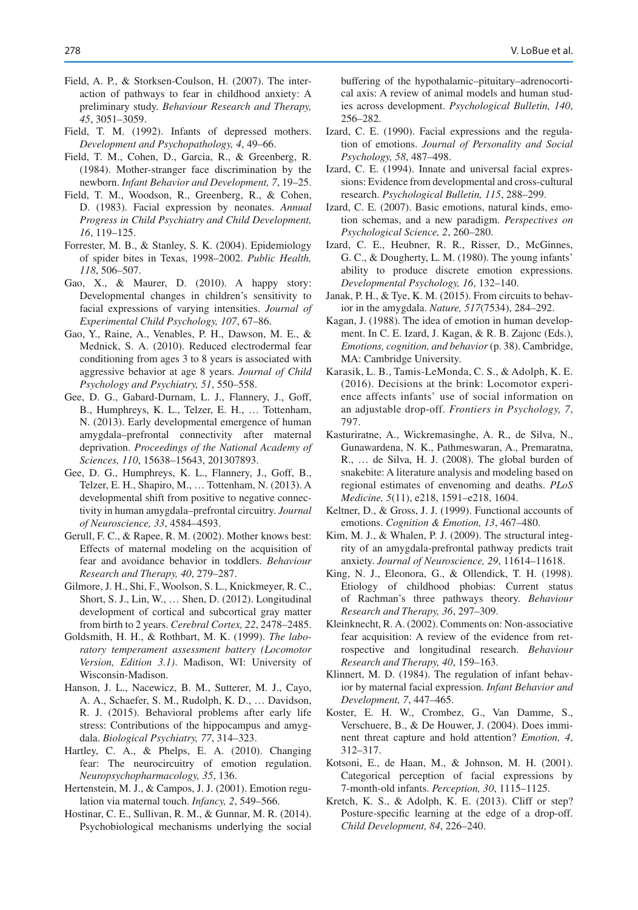- <span id="page-21-31"></span>Field, A. P., & Storksen-Coulson, H. (2007). The interaction of pathways to fear in childhood anxiety: A preliminary study. *Behaviour Research and Therapy, 45*, 3051–3059.
- <span id="page-21-8"></span>Field, T. M. (1992). Infants of depressed mothers. *Development and Psychopathology, 4*, 49–66.
- <span id="page-21-16"></span>Field, T. M., Cohen, D., Garcia, R., & Greenberg, R. (1984). Mother-stranger face discrimination by the newborn. *Infant Behavior and Development, 7*, 19–25.
- <span id="page-21-6"></span>Field, T. M., Woodson, R., Greenberg, R., & Cohen, D. (1983). Facial expression by neonates. *Annual Progress in Child Psychiatry and Child Development, 16*, 119–125.
- <span id="page-21-21"></span>Forrester, M. B., & Stanley, S. K. (2004). Epidemiology of spider bites in Texas, 1998–2002. *Public Health, 118*, 506–507.
- <span id="page-21-12"></span>Gao, X., & Maurer, D. (2010). A happy story: Developmental changes in children's sensitivity to facial expressions of varying intensities. *Journal of Experimental Child Psychology, 107*, 67–86.
- <span id="page-21-27"></span>Gao, Y., Raine, A., Venables, P. H., Dawson, M. E., & Mednick, S. A. (2010). Reduced electrodermal fear conditioning from ages 3 to 8 years is associated with aggressive behavior at age 8 years. *Journal of Child Psychology and Psychiatry, 51*, 550–558.
- <span id="page-21-28"></span>Gee, D. G., Gabard-Durnam, L. J., Flannery, J., Goff, B., Humphreys, K. L., Telzer, E. H., … Tottenham, N. (2013). Early developmental emergence of human amygdala–prefrontal connectivity after maternal deprivation. *Proceedings of the National Academy of Sciences, 110*, 15638–15643, 201307893.
- <span id="page-21-26"></span>Gee, D. G., Humphreys, K. L., Flannery, J., Goff, B., Telzer, E. H., Shapiro, M., … Tottenham, N. (2013). A developmental shift from positive to negative connectivity in human amygdala–prefrontal circuitry. *Journal of Neuroscience, 33*, 4584–4593.
- <span id="page-21-17"></span>Gerull, F. C., & Rapee, R. M. (2002). Mother knows best: Effects of maternal modeling on the acquisition of fear and avoidance behavior in toddlers. *Behaviour Research and Therapy, 40*, 279–287.
- <span id="page-21-25"></span>Gilmore, J. H., Shi, F., Woolson, S. L., Knickmeyer, R. C., Short, S. J., Lin, W., … Shen, D. (2012). Longitudinal development of cortical and subcortical gray matter from birth to 2 years. *Cerebral Cortex, 22*, 2478–2485.
- <span id="page-21-14"></span>Goldsmith, H. H., & Rothbart, M. K. (1999). *The laboratory temperament assessment battery (Locomotor Version, Edition 3.1)*. Madison, WI: University of Wisconsin-Madison.
- <span id="page-21-29"></span>Hanson, J. L., Nacewicz, B. M., Sutterer, M. J., Cayo, A. A., Schaefer, S. M., Rudolph, K. D., … Davidson, R. J. (2015). Behavioral problems after early life stress: Contributions of the hippocampus and amygdala. *Biological Psychiatry, 77*, 314–323.
- <span id="page-21-24"></span>Hartley, C. A., & Phelps, E. A. (2010). Changing fear: The neurocircuitry of emotion regulation. *Neuropsychopharmacology, 35*, 136.
- <span id="page-21-9"></span>Hertenstein, M. J., & Campos, J. J. (2001). Emotion regulation via maternal touch. *Infancy, 2*, 549–566.
- <span id="page-21-30"></span>Hostinar, C. E., Sullivan, R. M., & Gunnar, M. R. (2014). Psychobiological mechanisms underlying the social

buffering of the hypothalamic–pituitary–adrenocortical axis: A review of animal models and human studies across development. *Psychological Bulletin, 140*, 256–282.

- <span id="page-21-1"></span>Izard, C. E. (1990). Facial expressions and the regulation of emotions. *Journal of Personality and Social Psychology, 58*, 487–498.
- <span id="page-21-2"></span>Izard, C. E. (1994). Innate and universal facial expressions: Evidence from developmental and cross-cultural research. *Psychological Bulletin, 115*, 288–299.
- <span id="page-21-0"></span>Izard, C. E. (2007). Basic emotions, natural kinds, emotion schemas, and a new paradigm. *Perspectives on Psychological Science, 2*, 260–280.
- <span id="page-21-3"></span>Izard, C. E., Heubner, R. R., Risser, D., McGinnes, G. C., & Dougherty, L. M. (1980). The young infants' ability to produce discrete emotion expressions. *Developmental Psychology, 16*, 132–140.
- <span id="page-21-22"></span>Janak, P. H., & Tye, K. M. (2015). From circuits to behavior in the amygdala. *Nature, 517*(7534), 284–292.
- <span id="page-21-4"></span>Kagan, J. (1988). The idea of emotion in human development. In C. E. Izard, J. Kagan, & R. B. Zajonc (Eds.), *Emotions, cognition, and behavior* (p. 38). Cambridge, MA: Cambridge University.
- <span id="page-21-11"></span>Karasik, L. B., Tamis-LeMonda, C. S., & Adolph, K. E. (2016). Decisions at the brink: Locomotor experience affects infants' use of social information on an adjustable drop-off. *Frontiers in Psychology, 7*, 797.
- <span id="page-21-20"></span>Kasturiratne, A., Wickremasinghe, A. R., de Silva, N., Gunawardena, N. K., Pathmeswaran, A., Premaratna, R., … de Silva, H. J. (2008). The global burden of snakebite: A literature analysis and modeling based on regional estimates of envenoming and deaths. *PLoS Medicine, 5*(11), e218, 1591–e218, 1604.
- <span id="page-21-5"></span>Keltner, D., & Gross, J. J. (1999). Functional accounts of emotions. *Cognition & Emotion, 13*, 467–480.
- <span id="page-21-23"></span>Kim, M. J., & Whalen, P. J. (2009). The structural integrity of an amygdala-prefrontal pathway predicts trait anxiety. *Journal of Neuroscience, 29*, 11614–11618.
- <span id="page-21-18"></span>King, N. J., Eleonora, G., & Ollendick, T. H. (1998). Etiology of childhood phobias: Current status of Rachman's three pathways theory. *Behaviour Research and Therapy, 36*, 297–309.
- <span id="page-21-19"></span>Kleinknecht, R. A. (2002). Comments on: Non-associative fear acquisition: A review of the evidence from retrospective and longitudinal research. *Behaviour Research and Therapy, 40*, 159–163.
- <span id="page-21-10"></span>Klinnert, M. D. (1984). The regulation of infant behavior by maternal facial expression. *Infant Behavior and Development, 7*, 447–465.
- <span id="page-21-13"></span>Koster, E. H. W., Crombez, G., Van Damme, S., Verschuere, B., & De Houwer, J. (2004). Does imminent threat capture and hold attention? *Emotion, 4*, 312–317.
- <span id="page-21-7"></span>Kotsoni, E., de Haan, M., & Johnson, M. H. (2001). Categorical perception of facial expressions by 7-month-old infants. *Perception, 30*, 1115–1125.
- <span id="page-21-15"></span>Kretch, K. S., & Adolph, K. E. (2013). Cliff or step? Posture-specific learning at the edge of a drop-off. *Child Development, 84*, 226–240.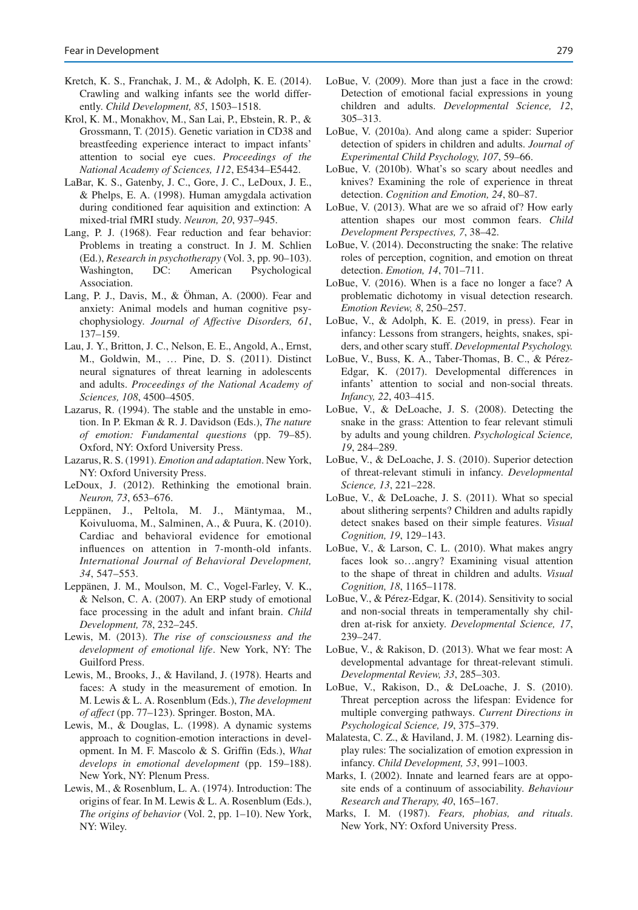- <span id="page-22-32"></span>Kretch, K. S., Franchak, J. M., & Adolph, K. E. (2014). Crawling and walking infants see the world differently. *Child Development, 85*, 1503–1518.
- <span id="page-22-7"></span>Krol, K. M., Monakhov, M., San Lai, P., Ebstein, R. P., & Grossmann, T. (2015). Genetic variation in CD38 and breastfeeding experience interact to impact infants' attention to social eye cues. *Proceedings of the National Academy of Sciences, 112*, E5434–E5442.
- <span id="page-22-31"></span>LaBar, K. S., Gatenby, J. C., Gore, J. C., LeDoux, J. E., & Phelps, E. A. (1998). Human amygdala activation during conditioned fear aquisition and extinction: A mixed-trial fMRI study. *Neuron, 20*, 937–945.
- <span id="page-22-22"></span>Lang, P. J. (1968). Fear reduction and fear behavior: Problems in treating a construct. In J. M. Schlien (Ed.), *Research in psychotherapy* (Vol. 3, pp. 90–103). Washington, DC: American Psychological Association.
- <span id="page-22-4"></span>Lang, P. J., Davis, M., & Öhman, A. (2000). Fear and anxiety: Animal models and human cognitive psychophysiology. *Journal of Affective Disorders, 61*, 137–159.
- <span id="page-22-30"></span>Lau, J. Y., Britton, J. C., Nelson, E. E., Angold, A., Ernst, M., Goldwin, M., … Pine, D. S. (2011). Distinct neural signatures of threat learning in adolescents and adults. *Proceedings of the National Academy of Sciences, 108*, 4500–4505.
- <span id="page-22-17"></span>Lazarus, R. (1994). The stable and the unstable in emotion. In P. Ekman & R. J. Davidson (Eds.), *The nature of emotion: Fundamental questions* (pp. 79–85). Oxford, NY: Oxford University Press.
- <span id="page-22-3"></span>Lazarus, R. S. (1991). *Emotion and adaptation*. New York, NY: Oxford University Press.
- <span id="page-22-0"></span>LeDoux, J. (2012). Rethinking the emotional brain. *Neuron, 73*, 653–676.
- <span id="page-22-8"></span>Leppänen, J., Peltola, M. J., Mäntymaa, M., Koivuluoma, M., Salminen, A., & Puura, K. (2010). Cardiac and behavioral evidence for emotional influences on attention in 7-month-old infants. *International Journal of Behavioral Development, 34*, 547–553.
- <span id="page-22-5"></span>Leppänen, J. M., Moulson, M. C., Vogel-Farley, V. K., & Nelson, C. A. (2007). An ERP study of emotional face processing in the adult and infant brain. *Child Development, 78*, 232–245.
- <span id="page-22-1"></span>Lewis, M. (2013). *The rise of consciousness and the development of emotional life*. New York, NY: The Guilford Press.
- <span id="page-22-21"></span>Lewis, M., Brooks, J., & Haviland, J. (1978). Hearts and faces: A study in the measurement of emotion. In M. Lewis & L. A. Rosenblum (Eds.), *The development of affect* (pp. 77–123). Springer. Boston, MA.
- <span id="page-22-2"></span>Lewis, M., & Douglas, L. (1998). A dynamic systems approach to cognition-emotion interactions in development. In M. F. Mascolo & S. Griffin (Eds.), *What develops in emotional development* (pp. 159–188). New York, NY: Plenum Press.
- <span id="page-22-24"></span>Lewis, M., & Rosenblum, L. A. (1974). Introduction: The origins of fear. In M. Lewis & L. A. Rosenblum (Eds.), *The origins of behavior* (Vol. 2, pp. 1–10). New York, NY: Wiley.
- <span id="page-22-11"></span>LoBue, V. (2009). More than just a face in the crowd: Detection of emotional facial expressions in young children and adults. *Developmental Science, 12*, 305–313.
- <span id="page-22-9"></span>LoBue, V. (2010a). And along came a spider: Superior detection of spiders in children and adults. *Journal of Experimental Child Psychology, 107*, 59–66.
- <span id="page-22-16"></span>LoBue, V. (2010b). What's so scary about needles and knives? Examining the role of experience in threat detection. *Cognition and Emotion, 24*, 80–87.
- <span id="page-22-25"></span>LoBue, V. (2013). What are we so afraid of? How early attention shapes our most common fears. *Child Development Perspectives, 7*, 38–42.
- <span id="page-22-13"></span>LoBue, V. (2014). Deconstructing the snake: The relative roles of perception, cognition, and emotion on threat detection. *Emotion, 14*, 701–711.
- <span id="page-22-26"></span>LoBue, V. (2016). When is a face no longer a face? A problematic dichotomy in visual detection research. *Emotion Review, 8*, 250–257.
- <span id="page-22-23"></span>LoBue, V., & Adolph, K. E. (2019, in press). Fear in infancy: Lessons from strangers, heights, snakes, spiders, and other scary stuff. *Developmental Psychology.*
- <span id="page-22-19"></span>LoBue, V., Buss, K. A., Taber-Thomas, B. C., & Pérez-Edgar, K. (2017). Developmental differences in infants' attention to social and non-social threats. *Infancy, 22*, 403–415.
- <span id="page-22-10"></span>LoBue, V., & DeLoache, J. S. (2008). Detecting the snake in the grass: Attention to fear relevant stimuli by adults and young children. *Psychological Science, 19*, 284–289.
- <span id="page-22-12"></span>LoBue, V., & DeLoache, J. S. (2010). Superior detection of threat-relevant stimuli in infancy. *Developmental Science, 13*, 221–228.
- <span id="page-22-14"></span>LoBue, V., & DeLoache, J. S. (2011). What so special about slithering serpents? Children and adults rapidly detect snakes based on their simple features. *Visual Cognition, 19*, 129–143.
- <span id="page-22-15"></span>LoBue, V., & Larson, C. L. (2010). What makes angry faces look so…angry? Examining visual attention to the shape of threat in children and adults. *Visual Cognition, 18*, 1165–1178.
- <span id="page-22-18"></span>LoBue, V., & Pérez-Edgar, K. (2014). Sensitivity to social and non-social threats in temperamentally shy children at-risk for anxiety. *Developmental Science, 17*, 239–247.
- <span id="page-22-27"></span>LoBue, V., & Rakison, D. (2013). What we fear most: A developmental advantage for threat-relevant stimuli. *Developmental Review, 33*, 285–303.
- <span id="page-22-28"></span>LoBue, V., Rakison, D., & DeLoache, J. S. (2010). Threat perception across the lifespan: Evidence for multiple converging pathways. *Current Directions in Psychological Science, 19*, 375–379.
- <span id="page-22-6"></span>Malatesta, C. Z., & Haviland, J. M. (1982). Learning display rules: The socialization of emotion expression in infancy. *Child Development, 53*, 991–1003.
- <span id="page-22-29"></span>Marks, I. (2002). Innate and learned fears are at opposite ends of a continuum of associability. *Behaviour Research and Therapy, 40*, 165–167.
- <span id="page-22-20"></span>Marks, I. M. (1987). *Fears, phobias, and rituals*. New York, NY: Oxford University Press.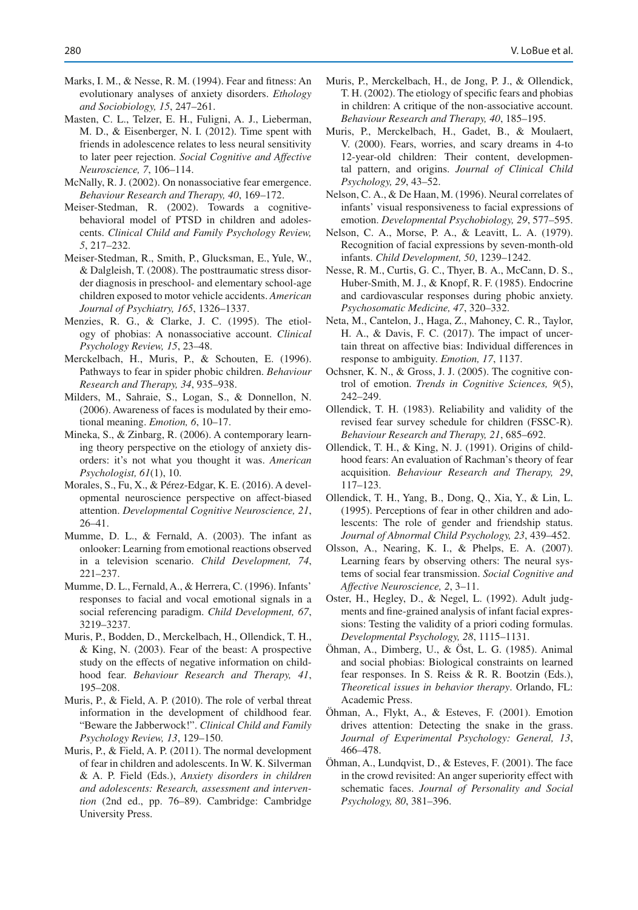- <span id="page-23-17"></span>Marks, I. M., & Nesse, R. M. (1994). Fear and fitness: An evolutionary analyses of anxiety disorders. *Ethology and Sociobiology, 15*, 247–261.
- <span id="page-23-27"></span>Masten, C. L., Telzer, E. H., Fuligni, A. J., Lieberman, M. D., & Eisenberger, N. I. (2012). Time spent with friends in adolescence relates to less neural sensitivity to later peer rejection. *Social Cognitive and Affective Neuroscience, 7*, 106–114.
- <span id="page-23-21"></span>McNally, R. J. (2002). On nonassociative fear emergence. *Behaviour Research and Therapy, 40*, 169–172.
- <span id="page-23-13"></span>Meiser-Stedman, R. (2002). Towards a cognitivebehavioral model of PTSD in children and adolescents. *Clinical Child and Family Psychology Review, 5*, 217–232.
- <span id="page-23-14"></span>Meiser-Stedman, R., Smith, P., Glucksman, E., Yule, W., & Dalgleish, T. (2008). The posttraumatic stress disorder diagnosis in preschool- and elementary school-age children exposed to motor vehicle accidents. *American Journal of Psychiatry, 165*, 1326–1337.
- <span id="page-23-18"></span>Menzies, R. G., & Clarke, J. C. (1995). The etiology of phobias: A nonassociative account. *Clinical Psychology Review, 15*, 23–48.
- <span id="page-23-19"></span>Merckelbach, H., Muris, P., & Schouten, E. (1996). Pathways to fear in spider phobic children. *Behaviour Research and Therapy, 34*, 935–938.
- <span id="page-23-5"></span>Milders, M., Sahraie, S., Logan, S., & Donnellon, N. (2006). Awareness of faces is modulated by their emotional meaning. *Emotion, 6*, 10–17.
- <span id="page-23-15"></span>Mineka, S., & Zinbarg, R. (2006). A contemporary learning theory perspective on the etiology of anxiety disorders: it's not what you thought it was. *American Psychologist, 61*(1), 10.
- <span id="page-23-29"></span>Morales, S., Fu, X., & Pérez-Edgar, K. E. (2016). A developmental neuroscience perspective on affect-biased attention. *Developmental Cognitive Neuroscience, 21*, 26–41.
- <span id="page-23-2"></span>Mumme, D. L., & Fernald, A. (2003). The infant as onlooker: Learning from emotional reactions observed in a television scenario. *Child Development, 74*, 221–237.
- <span id="page-23-3"></span>Mumme, D. L., Fernald, A., & Herrera, C. (1996). Infants' responses to facial and vocal emotional signals in a social referencing paradigm. *Child Development, 67*, 3219–3237.
- <span id="page-23-16"></span>Muris, P., Bodden, D., Merckelbach, H., Ollendick, T. H., & King, N. (2003). Fear of the beast: A prospective study on the effects of negative information on childhood fear. *Behaviour Research and Therapy, 41*, 195–208.
- <span id="page-23-10"></span>Muris, P., & Field, A. P. (2010). The role of verbal threat information in the development of childhood fear. "Beware the Jabberwock!". *Clinical Child and Family Psychology Review, 13*, 129–150.
- <span id="page-23-9"></span>Muris, P., & Field, A. P. (2011). The normal development of fear in children and adolescents. In W. K. Silverman & A. P. Field (Eds.), *Anxiety disorders in children and adolescents: Research, assessment and intervention* (2nd ed., pp. 76–89). Cambridge: Cambridge University Press.
- <span id="page-23-20"></span>Muris, P., Merckelbach, H., de Jong, P. J., & Ollendick, T. H. (2002). The etiology of specific fears and phobias in children: A critique of the non-associative account. *Behaviour Research and Therapy, 40*, 185–195.
- <span id="page-23-12"></span>Muris, P., Merckelbach, H., Gadet, B., & Moulaert, V. (2000). Fears, worries, and scary dreams in 4-to 12-year-old children: Their content, developmental pattern, and origins. *Journal of Clinical Child Psychology, 29*, 43–52.
- <span id="page-23-1"></span>Nelson, C. A., & De Haan, M. (1996). Neural correlates of infants' visual responsiveness to facial expressions of emotion. *Developmental Psychobiology, 29*, 577–595.
- <span id="page-23-0"></span>Nelson, C. A., Morse, P. A., & Leavitt, L. A. (1979). Recognition of facial expressions by seven-month-old infants. *Child Development, 50*, 1239–1242.
- <span id="page-23-6"></span>Nesse, R. M., Curtis, G. C., Thyer, B. A., McCann, D. S., Huber-Smith, M. J., & Knopf, R. F. (1985). Endocrine and cardiovascular responses during phobic anxiety. *Psychosomatic Medicine, 47*, 320–332.
- <span id="page-23-26"></span>Neta, M., Cantelon, J., Haga, Z., Mahoney, C. R., Taylor, H. A., & Davis, F. C. (2017). The impact of uncertain threat on affective bias: Individual differences in response to ambiguity. *Emotion, 17*, 1137.
- <span id="page-23-25"></span>Ochsner, K. N., & Gross, J. J. (2005). The cognitive control of emotion. *Trends in Cognitive Sciences, 9*(5), 242–249.
- <span id="page-23-8"></span>Ollendick, T. H. (1983). Reliability and validity of the revised fear survey schedule for children (FSSC-R). *Behaviour Research and Therapy, 21*, 685–692.
- <span id="page-23-28"></span>Ollendick, T. H., & King, N. J. (1991). Origins of childhood fears: An evaluation of Rachman's theory of fear acquisition. *Behaviour Research and Therapy, 29*, 117–123.
- <span id="page-23-22"></span>Ollendick, T. H., Yang, B., Dong, Q., Xia, Y., & Lin, L. (1995). Perceptions of fear in other children and adolescents: The role of gender and friendship status. *Journal of Abnormal Child Psychology, 23*, 439–452.
- <span id="page-23-24"></span>Olsson, A., Nearing, K. I., & Phelps, E. A. (2007). Learning fears by observing others: The neural systems of social fear transmission. *Social Cognitive and Affective Neuroscience, 2*, 3–11.
- <span id="page-23-7"></span>Oster, H., Hegley, D., & Negel, L. (1992). Adult judgments and fine-grained analysis of infant facial expressions: Testing the validity of a priori coding formulas. *Developmental Psychology, 28*, 1115–1131.
- <span id="page-23-11"></span>Öhman, A., Dimberg, U., & Öst, L. G. (1985). Animal and social phobias: Biological constraints on learned fear responses. In S. Reiss & R. R. Bootzin (Eds.), *Theoretical issues in behavior therapy*. Orlando, FL: Academic Press.
- <span id="page-23-4"></span>Öhman, A., Flykt, A., & Esteves, F. (2001). Emotion drives attention: Detecting the snake in the grass. *Journal of Experimental Psychology: General, 13*, 466–478.
- <span id="page-23-23"></span>Öhman, A., Lundqvist, D., & Esteves, F. (2001). The face in the crowd revisited: An anger superiority effect with schematic faces. *Journal of Personality and Social Psychology, 80*, 381–396.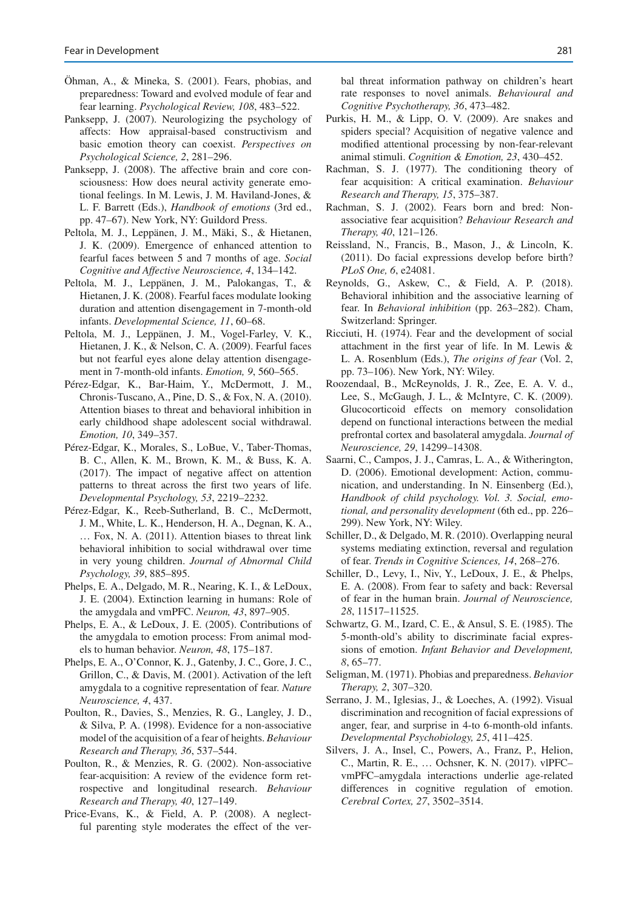- <span id="page-24-8"></span>Öhman, A., & Mineka, S. (2001). Fears, phobias, and preparedness: Toward and evolved module of fear and fear learning. *Psychological Review, 108*, 483–522.
- <span id="page-24-0"></span>Panksepp, J. (2007). Neurologizing the psychology of affects: How appraisal-based constructivism and basic emotion theory can coexist. *Perspectives on Psychological Science, 2*, 281–296.
- <span id="page-24-1"></span>Panksepp, J. (2008). The affective brain and core consciousness: How does neural activity generate emotional feelings. In M. Lewis, J. M. Haviland-Jones, & L. F. Barrett (Eds.), *Handbook of emotions* (3rd ed., pp. 47–67). New York, NY: Guildord Press.
- <span id="page-24-5"></span>Peltola, M. J., Leppänen, J. M., Mäki, S., & Hietanen, J. K. (2009). Emergence of enhanced attention to fearful faces between 5 and 7 months of age. *Social Cognitive and Affective Neuroscience, 4*, 134–142.
- <span id="page-24-6"></span>Peltola, M. J., Leppänen, J. M., Palokangas, T., & Hietanen, J. K. (2008). Fearful faces modulate looking duration and attention disengagement in 7-month-old infants. *Developmental Science, 11*, 60–68.
- <span id="page-24-7"></span>Peltola, M. J., Leppänen, J. M., Vogel-Farley, V. K., Hietanen, J. K., & Nelson, C. A. (2009). Fearful faces but not fearful eyes alone delay attention disengagement in 7-month-old infants. *Emotion, 9*, 560–565.
- <span id="page-24-10"></span>Pérez-Edgar, K., Bar-Haim, Y., McDermott, J. M., Chronis-Tuscano, A., Pine, D. S., & Fox, N. A. (2010). Attention biases to threat and behavioral inhibition in early childhood shape adolescent social withdrawal. *Emotion, 10*, 349–357.
- <span id="page-24-12"></span>Pérez-Edgar, K., Morales, S., LoBue, V., Taber-Thomas, B. C., Allen, K. M., Brown, K. M., & Buss, K. A. (2017). The impact of negative affect on attention patterns to threat across the first two years of life. *Developmental Psychology, 53*, 2219–2232.
- <span id="page-24-11"></span>Pérez-Edgar, K., Reeb-Sutherland, B. C., McDermott, J. M., White, L. K., Henderson, H. A., Degnan, K. A., … Fox, N. A. (2011). Attention biases to threat link behavioral inhibition to social withdrawal over time in very young children. *Journal of Abnormal Child Psychology, 39*, 885–895.
- <span id="page-24-25"></span>Phelps, E. A., Delgado, M. R., Nearing, K. I., & LeDoux, J. E. (2004). Extinction learning in humans: Role of the amygdala and vmPFC. *Neuron, 43*, 897–905.
- <span id="page-24-23"></span>Phelps, E. A., & LeDoux, J. E. (2005). Contributions of the amygdala to emotion process: From animal models to human behavior. *Neuron, 48*, 175–187.
- <span id="page-24-24"></span>Phelps, E. A., O'Connor, K. J., Gatenby, J. C., Gore, J. C., Grillon, C., & Davis, M. (2001). Activation of the left amygdala to a cognitive representation of fear. *Nature Neuroscience, 4*, 437.
- <span id="page-24-18"></span>Poulton, R., Davies, S., Menzies, R. G., Langley, J. D., & Silva, P. A. (1998). Evidence for a non-associative model of the acquisition of a fear of heights. *Behaviour Research and Therapy, 36*, 537–544.
- <span id="page-24-15"></span>Poulton, R., & Menzies, R. G. (2002). Non-associative fear-acquisition: A review of the evidence form retrospective and longitudinal research. *Behaviour Research and Therapy, 40*, 127–149.
- <span id="page-24-20"></span>Price-Evans, K., & Field, A. P. (2008). A neglectful parenting style moderates the effect of the ver-

bal threat information pathway on children's heart rate responses to novel animals. *Behavioural and Cognitive Psychotherapy, 36*, 473–482.

- <span id="page-24-9"></span>Purkis, H. M., & Lipp, O. V. (2009). Are snakes and spiders special? Acquisition of negative valence and modified attentional processing by non-fear-relevant animal stimuli. *Cognition & Emotion, 23*, 430–452.
- <span id="page-24-16"></span>Rachman, S. J. (1977). The conditioning theory of fear acquisition: A critical examination. *Behaviour Research and Therapy, 15*, 375–387.
- <span id="page-24-19"></span>Rachman, S. J. (2002). Fears born and bred: Nonassociative fear acquisition? *Behaviour Research and Therapy, 40*, 121–126.
- <span id="page-24-2"></span>Reissland, N., Francis, B., Mason, J., & Lincoln, K. (2011). Do facial expressions develop before birth? *PLoS One, 6*, e24081.
- <span id="page-24-21"></span>Reynolds, G., Askew, C., & Field, A. P. (2018). Behavioral inhibition and the associative learning of fear. In *Behavioral inhibition* (pp. 263–282). Cham, Switzerland: Springer.
- <span id="page-24-14"></span>Ricciuti, H. (1974). Fear and the development of social attachment in the first year of life. In M. Lewis & L. A. Rosenblum (Eds.), *The origins of fear* (Vol. 2, pp. 73–106). New York, NY: Wiley.
- <span id="page-24-22"></span>Roozendaal, B., McReynolds, J. R., Zee, E. A. V. d., Lee, S., McGaugh, J. L., & McIntyre, C. K. (2009). Glucocorticoid effects on memory consolidation depend on functional interactions between the medial prefrontal cortex and basolateral amygdala. *Journal of Neuroscience, 29*, 14299–14308.
- <span id="page-24-13"></span>Saarni, C., Campos, J. J., Camras, L. A., & Witherington, D. (2006). Emotional development: Action, communication, and understanding. In N. Einsenberg (Ed.), *Handbook of child psychology. Vol. 3. Social, emotional, and personality development* (6th ed., pp. 226– 299). New York, NY: Wiley.
- <span id="page-24-27"></span>Schiller, D., & Delgado, M. R. (2010). Overlapping neural systems mediating extinction, reversal and regulation of fear. *Trends in Cognitive Sciences, 14*, 268–276.
- <span id="page-24-26"></span>Schiller, D., Levy, I., Niv, Y., LeDoux, J. E., & Phelps, E. A. (2008). From fear to safety and back: Reversal of fear in the human brain. *Journal of Neuroscience, 28*, 11517–11525.
- <span id="page-24-4"></span>Schwartz, G. M., Izard, C. E., & Ansul, S. E. (1985). The 5-month-old's ability to discriminate facial expressions of emotion. *Infant Behavior and Development, 8*, 65–77.
- <span id="page-24-17"></span>Seligman, M. (1971). Phobias and preparedness. *Behavior Therapy, 2*, 307–320.
- <span id="page-24-3"></span>Serrano, J. M., Iglesias, J., & Loeches, A. (1992). Visual discrimination and recognition of facial expressions of anger, fear, and surprise in 4-to 6-month-old infants. *Developmental Psychobiology, 25*, 411–425.
- <span id="page-24-28"></span>Silvers, J. A., Insel, C., Powers, A., Franz, P., Helion, C., Martin, R. E., … Ochsner, K. N. (2017). vlPFC– vmPFC–amygdala interactions underlie age-related differences in cognitive regulation of emotion. *Cerebral Cortex, 27*, 3502–3514.